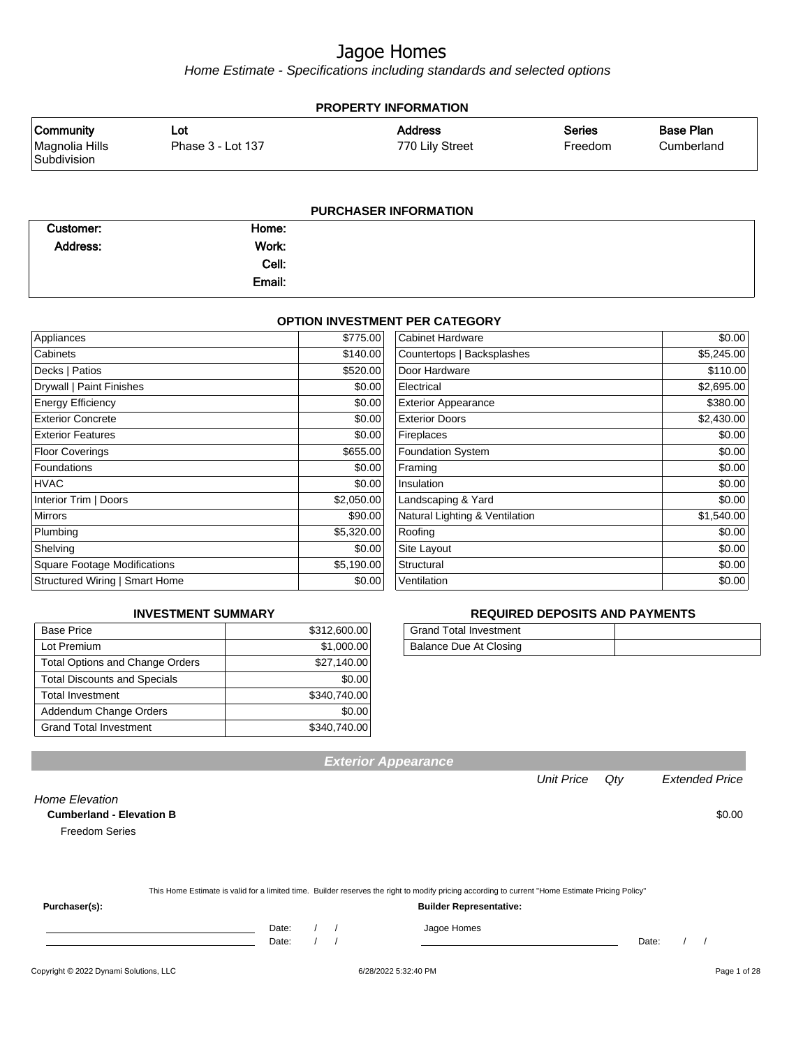Home Estimate - Specifications including standards and selected options

|                                                                                   | <b>PROPERTY INFORMATION</b> |                                   |                   |                                |
|-----------------------------------------------------------------------------------|-----------------------------|-----------------------------------|-------------------|--------------------------------|
|                                                                                   | Lot<br>Phase 3 - Lot 137    | <b>Address</b><br>770 Lily Street | Series<br>Freedom | <b>Base Plan</b><br>Cumberland |
| <b>Community</b><br>Magnolia Hills<br>Subdivision<br><b>PURCHASER INFORMATION</b> |                             |                                   |                   |                                |

|                 |        | ______ |
|-----------------|--------|--------|
| Customer:       | Home:  |        |
| <b>Address:</b> | Work:  |        |
|                 | Cell:  |        |
|                 | Email: |        |

#### **OPTION INVESTMENT PER CATEGORY**

| Appliances                            | \$775.00   | Cabinet Hardware               | \$0.00     |
|---------------------------------------|------------|--------------------------------|------------|
| Cabinets                              | \$140.00   | Countertops   Backsplashes     | \$5,245.00 |
| Decks   Patios                        | \$520.00   | Door Hardware                  | \$110.00   |
| Drywall   Paint Finishes              | \$0.00     | Electrical                     | \$2,695.00 |
| <b>Energy Efficiency</b>              | \$0.00     | <b>Exterior Appearance</b>     | \$380.00   |
| <b>Exterior Concrete</b>              | \$0.00     | <b>Exterior Doors</b>          | \$2,430.00 |
| <b>Exterior Features</b>              | \$0.00     | Fireplaces                     | \$0.00     |
| <b>Floor Coverings</b>                | \$655.00   | <b>Foundation System</b>       | \$0.00     |
| <b>Foundations</b>                    | \$0.00     | Framing                        | \$0.00     |
| <b>HVAC</b>                           | \$0.00     | Insulation                     | \$0.00     |
| Interior Trim   Doors                 | \$2,050.00 | Landscaping & Yard             | \$0.00     |
| <b>Mirrors</b>                        | \$90.00    | Natural Lighting & Ventilation | \$1,540.00 |
| Plumbing                              | \$5,320.00 | Roofing                        | \$0.00     |
| Shelving                              | \$0.00     | Site Layout                    | \$0.00     |
| <b>Square Footage Modifications</b>   | \$5,190.00 | Structural                     | \$0.00     |
| <b>Structured Wiring   Smart Home</b> | \$0.00     | Ventilation                    | \$0.00     |

#### **INVESTMENT SUMMARY**

| <b>Base Price</b>                      | \$312,600.00 |
|----------------------------------------|--------------|
| Lot Premium                            | \$1,000.00   |
| <b>Total Options and Change Orders</b> | \$27,140.00  |
| <b>Total Discounts and Specials</b>    | \$0.00       |
| <b>Total Investment</b>                | \$340,740.00 |
| Addendum Change Orders                 | \$0.00       |
| <b>Grand Total Investment</b>          | \$340,740.00 |

#### **REQUIRED DEPOSITS AND PAYMENTS**

| <b>Grand Total Investment</b> |  |
|-------------------------------|--|
| Balance Due At Closing        |  |

|                                 |       |                                                                                                                                                  | <b>Unit Price</b> | Qty   | <b>Extended Price</b> |
|---------------------------------|-------|--------------------------------------------------------------------------------------------------------------------------------------------------|-------------------|-------|-----------------------|
| Home Elevation                  |       |                                                                                                                                                  |                   |       |                       |
| <b>Cumberland - Elevation B</b> |       |                                                                                                                                                  |                   |       | \$0.00                |
| <b>Freedom Series</b>           |       |                                                                                                                                                  |                   |       |                       |
|                                 |       |                                                                                                                                                  |                   |       |                       |
|                                 |       | This Home Estimate is valid for a limited time. Builder reserves the right to modify pricing according to current "Home Estimate Pricing Policy" |                   |       |                       |
| Purchaser(s):                   |       | <b>Builder Representative:</b>                                                                                                                   |                   |       |                       |
|                                 | Date: | Jagoe Homes                                                                                                                                      |                   |       |                       |
|                                 | Date: |                                                                                                                                                  |                   | Date: |                       |
|                                 |       |                                                                                                                                                  |                   |       |                       |

**Exterior Appearance**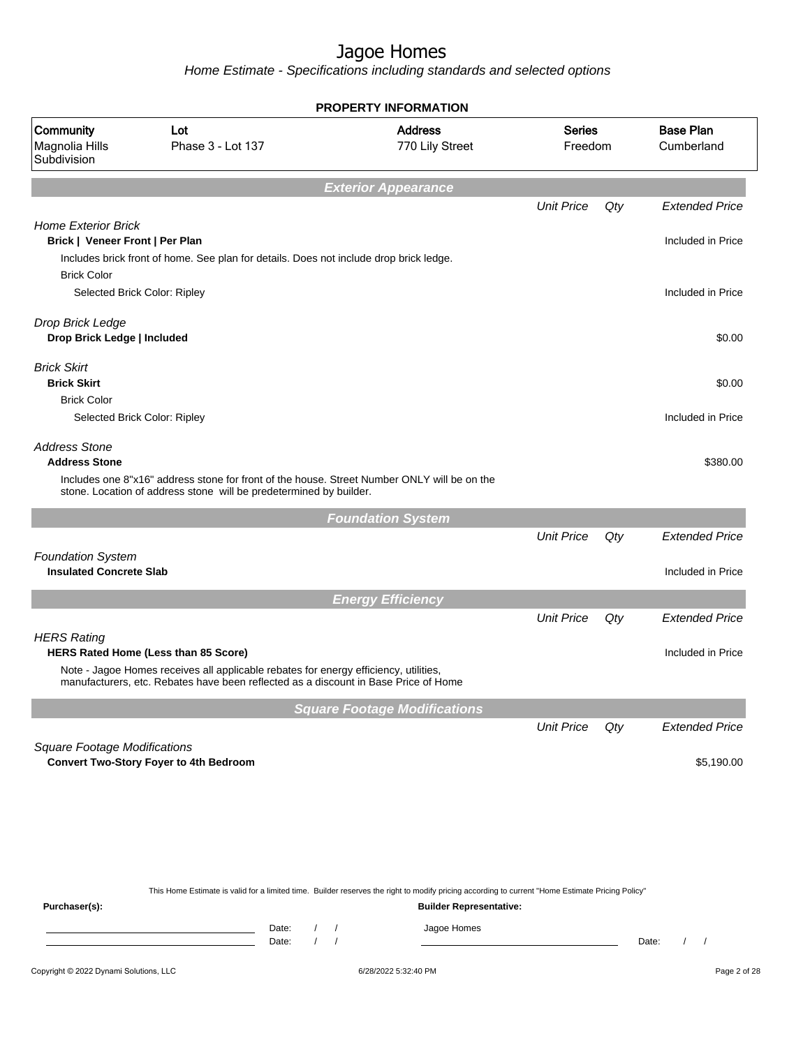Home Estimate - Specifications including standards and selected options

|                                                                                     |                                                                                                                                                                                                                     | <b>PROPERTY INFORMATION</b>         |                          |     |                                |
|-------------------------------------------------------------------------------------|---------------------------------------------------------------------------------------------------------------------------------------------------------------------------------------------------------------------|-------------------------------------|--------------------------|-----|--------------------------------|
| Community<br>Magnolia Hills<br>Subdivision                                          | Lot<br>Phase 3 - Lot 137                                                                                                                                                                                            | <b>Address</b><br>770 Lily Street   | <b>Series</b><br>Freedom |     | <b>Base Plan</b><br>Cumberland |
|                                                                                     |                                                                                                                                                                                                                     | <b>Exterior Appearance</b>          |                          |     |                                |
|                                                                                     |                                                                                                                                                                                                                     |                                     | <b>Unit Price</b>        | Qty | <b>Extended Price</b>          |
| <b>Home Exterior Brick</b><br>Brick   Veneer Front   Per Plan<br><b>Brick Color</b> | Includes brick front of home. See plan for details. Does not include drop brick ledge.                                                                                                                              |                                     |                          |     | Included in Price              |
| Selected Brick Color: Ripley                                                        |                                                                                                                                                                                                                     |                                     |                          |     | Included in Price              |
| Drop Brick Ledge<br>Drop Brick Ledge   Included                                     |                                                                                                                                                                                                                     |                                     |                          |     | \$0.00                         |
| <b>Brick Skirt</b><br><b>Brick Skirt</b>                                            |                                                                                                                                                                                                                     |                                     |                          |     | \$0.00                         |
| <b>Brick Color</b><br>Selected Brick Color: Ripley                                  |                                                                                                                                                                                                                     |                                     |                          |     | Included in Price              |
| <b>Address Stone</b><br><b>Address Stone</b>                                        |                                                                                                                                                                                                                     |                                     |                          |     | \$380.00                       |
|                                                                                     | Includes one 8"x16" address stone for front of the house. Street Number ONLY will be on the<br>stone. Location of address stone will be predetermined by builder.                                                   |                                     |                          |     |                                |
|                                                                                     |                                                                                                                                                                                                                     | <b>Foundation System</b>            |                          |     |                                |
|                                                                                     |                                                                                                                                                                                                                     |                                     | <b>Unit Price</b>        | Qty | <b>Extended Price</b>          |
| <b>Foundation System</b><br><b>Insulated Concrete Slab</b>                          |                                                                                                                                                                                                                     |                                     |                          |     | Included in Price              |
|                                                                                     |                                                                                                                                                                                                                     | <b>Energy Efficiency</b>            |                          |     |                                |
|                                                                                     |                                                                                                                                                                                                                     |                                     | <b>Unit Price</b>        | Qty | <b>Extended Price</b>          |
| <b>HERS Rating</b>                                                                  | HERS Rated Home (Less than 85 Score)<br>Note - Jagoe Homes receives all applicable rebates for energy efficiency, utilities,<br>manufacturers, etc. Rebates have been reflected as a discount in Base Price of Home |                                     |                          |     | Included in Price              |
|                                                                                     |                                                                                                                                                                                                                     | <b>Square Footage Modifications</b> |                          |     |                                |
| <b>Square Footage Modifications</b>                                                 |                                                                                                                                                                                                                     |                                     | <b>Unit Price</b>        | Qty | <b>Extended Price</b>          |
|                                                                                     | <b>Convert Two-Story Foyer to 4th Bedroom</b>                                                                                                                                                                       |                                     |                          |     | \$5,190.00                     |
|                                                                                     |                                                                                                                                                                                                                     |                                     |                          |     |                                |
|                                                                                     |                                                                                                                                                                                                                     |                                     |                          |     |                                |
| <b>D.</b>                                                                           | This Home Estimate is valid for a limited time. Builder reserves the right to modify pricing according to current "Home Estimate Pricing Policy"                                                                    | Duilder Denreesstellus              |                          |     |                                |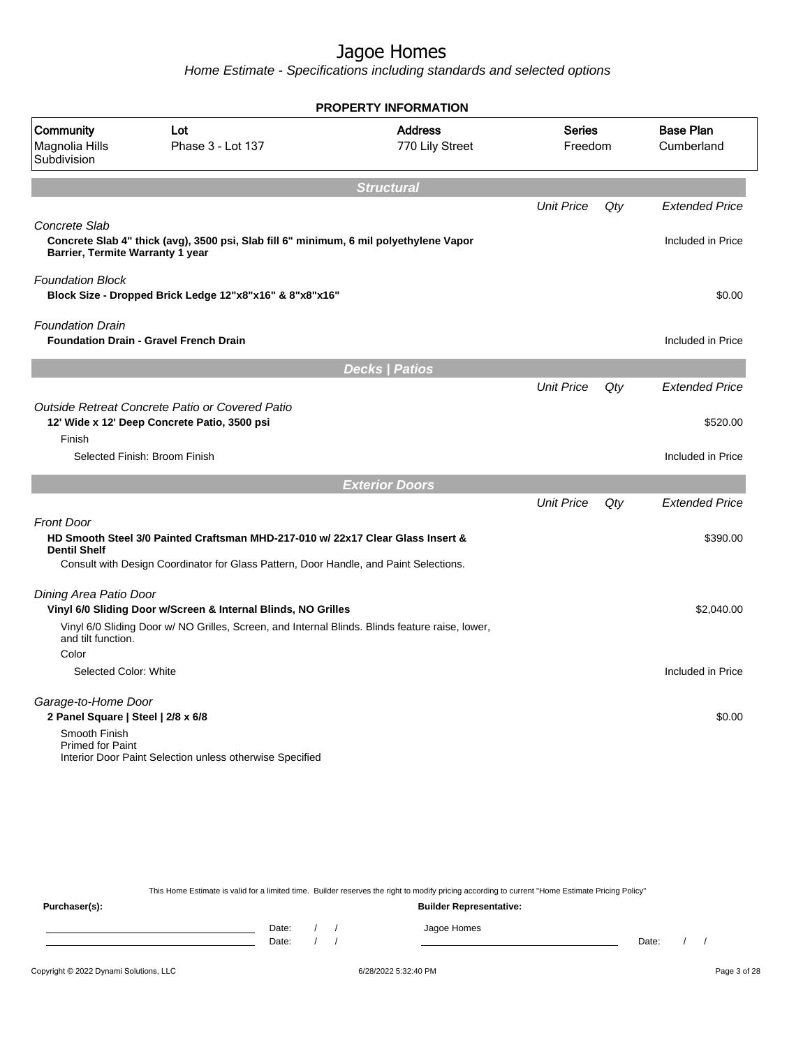Home Estimate - Specifications including standards and selected options

|                                                                                                       |                                                                                                                                                                          | <b>PROPERTY INFORMATION</b>       |                          |     |                                            |
|-------------------------------------------------------------------------------------------------------|--------------------------------------------------------------------------------------------------------------------------------------------------------------------------|-----------------------------------|--------------------------|-----|--------------------------------------------|
| Community<br>Magnolia Hills<br>Subdivision                                                            | Lot<br>Phase 3 - Lot 137                                                                                                                                                 | <b>Address</b><br>770 Lily Street | <b>Series</b><br>Freedom |     | <b>Base Plan</b><br>Cumberland             |
|                                                                                                       |                                                                                                                                                                          | <b>Structural</b>                 |                          |     |                                            |
| Concrete Slab<br>Barrier, Termite Warranty 1 year                                                     | Concrete Slab 4" thick (avg), 3500 psi, Slab fill 6" minimum, 6 mil polyethylene Vapor                                                                                   |                                   | <b>Unit Price</b>        | Qty | <b>Extended Price</b><br>Included in Price |
| <b>Foundation Block</b>                                                                               | Block Size - Dropped Brick Ledge 12"x8"x16" & 8"x8"x16"                                                                                                                  |                                   |                          |     | \$0.00                                     |
| <b>Foundation Drain</b>                                                                               | <b>Foundation Drain - Gravel French Drain</b>                                                                                                                            |                                   |                          |     | Included in Price                          |
|                                                                                                       |                                                                                                                                                                          | <b>Decks   Patios</b>             |                          |     |                                            |
| Finish                                                                                                | Outside Retreat Concrete Patio or Covered Patio<br>12' Wide x 12' Deep Concrete Patio, 3500 psi                                                                          |                                   | <b>Unit Price</b>        | Qty | <b>Extended Price</b><br>\$520.00          |
|                                                                                                       | Selected Finish: Broom Finish                                                                                                                                            |                                   |                          |     | Included in Price                          |
|                                                                                                       |                                                                                                                                                                          | <b>Exterior Doors</b>             |                          |     |                                            |
|                                                                                                       |                                                                                                                                                                          |                                   | <b>Unit Price</b>        | Qty | <b>Extended Price</b>                      |
| <b>Front Door</b><br><b>Dentil Shelf</b>                                                              | HD Smooth Steel 3/0 Painted Craftsman MHD-217-010 w/ 22x17 Clear Glass Insert &<br>Consult with Design Coordinator for Glass Pattern, Door Handle, and Paint Selections. |                                   |                          |     | \$390.00                                   |
| Dining Area Patio Door<br>and tilt function.                                                          | Vinyl 6/0 Sliding Door w/Screen & Internal Blinds, NO Grilles<br>Vinyl 6/0 Sliding Door w/ NO Grilles, Screen, and Internal Blinds. Blinds feature raise, lower,         |                                   |                          |     | \$2,040.00                                 |
| Color<br>Selected Color: White                                                                        |                                                                                                                                                                          |                                   |                          |     | Included in Price                          |
| Garage-to-Home Door<br>2 Panel Square   Steel   2/8 x 6/8<br>Smooth Finish<br><b>Primed for Paint</b> | Interior Door Paint Selection unless otherwise Specified                                                                                                                 |                                   |                          |     | \$0.00                                     |

This Home Estimate is valid for a limited time. Builder reserves the right to modify pricing according to current "Home Estimate Pricing Policy" **Purchaser(s): Builder Representative:** Date: / / Jagoe Homes<br>Date: / / Jagoe Homes Date: / / **Date: / / 2006** Date: / / / Date: / / /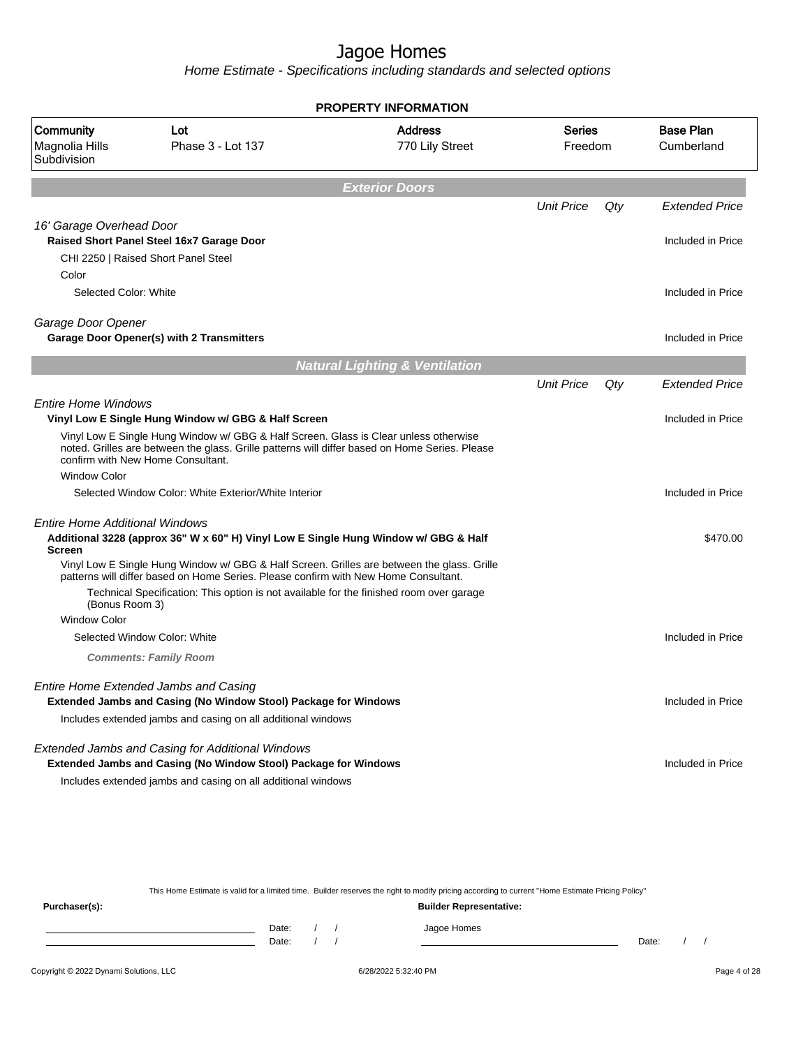Home Estimate - Specifications including standards and selected options

|                                                        |                                                                                                                                                                                                                                                                          | <b>PROPERTY INFORMATION</b>               |                          |     |                                |
|--------------------------------------------------------|--------------------------------------------------------------------------------------------------------------------------------------------------------------------------------------------------------------------------------------------------------------------------|-------------------------------------------|--------------------------|-----|--------------------------------|
| Community<br>Magnolia Hills<br>Subdivision             | Lot<br>Phase 3 - Lot 137                                                                                                                                                                                                                                                 | <b>Address</b><br>770 Lily Street         | <b>Series</b><br>Freedom |     | <b>Base Plan</b><br>Cumberland |
|                                                        |                                                                                                                                                                                                                                                                          | <b>Exterior Doors</b>                     |                          |     |                                |
|                                                        |                                                                                                                                                                                                                                                                          |                                           | <b>Unit Price</b>        | Qty | <b>Extended Price</b>          |
| 16' Garage Overhead Door                               |                                                                                                                                                                                                                                                                          |                                           |                          |     |                                |
|                                                        | Raised Short Panel Steel 16x7 Garage Door                                                                                                                                                                                                                                |                                           |                          |     | Included in Price              |
|                                                        | CHI 2250   Raised Short Panel Steel                                                                                                                                                                                                                                      |                                           |                          |     |                                |
| Color<br>Selected Color: White                         |                                                                                                                                                                                                                                                                          |                                           |                          |     | Included in Price              |
|                                                        |                                                                                                                                                                                                                                                                          |                                           |                          |     |                                |
| Garage Door Opener                                     |                                                                                                                                                                                                                                                                          |                                           |                          |     |                                |
|                                                        | <b>Garage Door Opener(s) with 2 Transmitters</b>                                                                                                                                                                                                                         |                                           |                          |     | Included in Price              |
|                                                        |                                                                                                                                                                                                                                                                          | <b>Natural Lighting &amp; Ventilation</b> |                          |     |                                |
|                                                        |                                                                                                                                                                                                                                                                          |                                           | <b>Unit Price</b>        | Qty | Extended Price                 |
| <b>Entire Home Windows</b>                             |                                                                                                                                                                                                                                                                          |                                           |                          |     |                                |
|                                                        | Vinyl Low E Single Hung Window w/ GBG & Half Screen                                                                                                                                                                                                                      |                                           |                          |     | Included in Price              |
|                                                        | Vinyl Low E Single Hung Window w/ GBG & Half Screen. Glass is Clear unless otherwise<br>noted. Grilles are between the glass. Grille patterns will differ based on Home Series. Please<br>confirm with New Home Consultant.                                              |                                           |                          |     |                                |
| <b>Window Color</b>                                    |                                                                                                                                                                                                                                                                          |                                           |                          |     |                                |
|                                                        | Selected Window Color: White Exterior/White Interior                                                                                                                                                                                                                     |                                           |                          |     | Included in Price              |
| <b>Entire Home Additional Windows</b><br><b>Screen</b> | Additional 3228 (approx 36" W x 60" H) Vinyl Low E Single Hung Window w/ GBG & Half<br>Vinyl Low E Single Hung Window w/ GBG & Half Screen. Grilles are between the glass. Grille<br>patterns will differ based on Home Series. Please confirm with New Home Consultant. |                                           |                          |     | \$470.00                       |
| (Bonus Room 3)                                         | Technical Specification: This option is not available for the finished room over garage                                                                                                                                                                                  |                                           |                          |     |                                |
| <b>Window Color</b>                                    |                                                                                                                                                                                                                                                                          |                                           |                          |     |                                |
|                                                        | Selected Window Color: White                                                                                                                                                                                                                                             |                                           |                          |     | Included in Price              |
|                                                        | <b>Comments: Family Room</b>                                                                                                                                                                                                                                             |                                           |                          |     |                                |
|                                                        | Entire Home Extended Jambs and Casing<br>Extended Jambs and Casing (No Window Stool) Package for Windows<br>Includes extended jambs and casing on all additional windows                                                                                                 |                                           |                          |     | Included in Price              |
|                                                        | Extended Jambs and Casing for Additional Windows<br><b>Extended Jambs and Casing (No Window Stool) Package for Windows</b><br>Includes extended jambs and casing on all additional windows                                                                               |                                           |                          |     | Included in Price              |

This Home Estimate is valid for a limited time. Builder reserves the right to modify pricing according to current "Home Estimate Pricing Policy" **Purchaser(s): Builder Representative:** Date: / / Jagoe Homes<br>Date: / / Jagoe Homes Date: / / Date: / /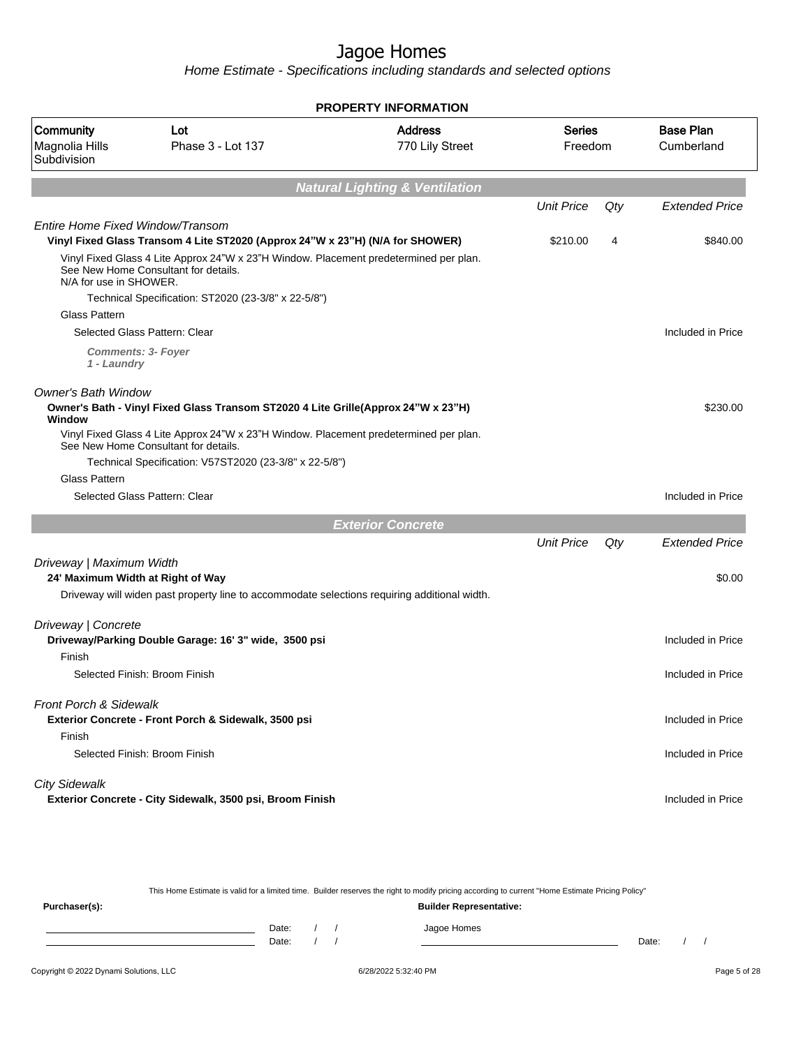Home Estimate - Specifications including standards and selected options

|                                            |                                                                                                                               | <b>PROPERTY INFORMATION</b>               |                   |     |                                |
|--------------------------------------------|-------------------------------------------------------------------------------------------------------------------------------|-------------------------------------------|-------------------|-----|--------------------------------|
| Community<br>Magnolia Hills<br>Subdivision | Lot<br>Phase 3 - Lot 137                                                                                                      | <b>Address</b><br>770 Lily Street         | Series<br>Freedom |     | <b>Base Plan</b><br>Cumberland |
|                                            |                                                                                                                               | <b>Natural Lighting &amp; Ventilation</b> |                   |     |                                |
|                                            |                                                                                                                               |                                           | <b>Unit Price</b> | Qty | <b>Extended Price</b>          |
| Entire Home Fixed Window/Transom           |                                                                                                                               |                                           |                   |     |                                |
|                                            | Vinyl Fixed Glass Transom 4 Lite ST2020 (Approx 24"W x 23"H) (N/A for SHOWER)                                                 |                                           | \$210.00          | 4   | \$840.00                       |
| N/A for use in SHOWER.                     | Vinyl Fixed Glass 4 Lite Approx 24"W x 23"H Window. Placement predetermined per plan.<br>See New Home Consultant for details. |                                           |                   |     |                                |
|                                            | Technical Specification: ST2020 (23-3/8" x 22-5/8")                                                                           |                                           |                   |     |                                |
| <b>Glass Pattern</b>                       |                                                                                                                               |                                           |                   |     |                                |
|                                            | Selected Glass Pattern: Clear                                                                                                 |                                           |                   |     | Included in Price              |
| 1 - Laundry                                | <b>Comments: 3- Foyer</b>                                                                                                     |                                           |                   |     |                                |
| <b>Owner's Bath Window</b><br>Window       | Owner's Bath - Vinyl Fixed Glass Transom ST2020 4 Lite Grille(Approx 24"W x 23"H)                                             |                                           |                   |     | \$230.00                       |
|                                            | Vinyl Fixed Glass 4 Lite Approx 24"W x 23"H Window. Placement predetermined per plan.<br>See New Home Consultant for details. |                                           |                   |     |                                |
|                                            | Technical Specification: V57ST2020 (23-3/8" x 22-5/8")                                                                        |                                           |                   |     |                                |
| Glass Pattern                              |                                                                                                                               |                                           |                   |     |                                |
|                                            | Selected Glass Pattern: Clear                                                                                                 |                                           |                   |     | Included in Price              |
|                                            |                                                                                                                               | <b>Exterior Concrete</b>                  |                   |     |                                |
|                                            |                                                                                                                               |                                           | <b>Unit Price</b> | Qty | Extended Price                 |
| Driveway   Maximum Width                   |                                                                                                                               |                                           |                   |     |                                |
| 24' Maximum Width at Right of Way          |                                                                                                                               |                                           |                   |     | \$0.00                         |
|                                            | Driveway will widen past property line to accommodate selections requiring additional width.                                  |                                           |                   |     |                                |
| Driveway   Concrete                        |                                                                                                                               |                                           |                   |     |                                |
|                                            | Driveway/Parking Double Garage: 16' 3" wide, 3500 psi                                                                         |                                           |                   |     | Included in Price              |
| Finish                                     |                                                                                                                               |                                           |                   |     |                                |
|                                            | Selected Finish: Broom Finish                                                                                                 |                                           |                   |     | Included in Price              |
| Front Porch & Sidewalk                     |                                                                                                                               |                                           |                   |     |                                |
|                                            | Exterior Concrete - Front Porch & Sidewalk, 3500 psi                                                                          |                                           |                   |     | Included in Price              |
| Finish                                     |                                                                                                                               |                                           |                   |     |                                |
|                                            | Selected Finish: Broom Finish                                                                                                 |                                           |                   |     | Included in Price              |
| <b>City Sidewalk</b>                       |                                                                                                                               |                                           |                   |     |                                |
|                                            | Exterior Concrete - City Sidewalk, 3500 psi, Broom Finish                                                                     |                                           |                   |     | Included in Price              |
|                                            |                                                                                                                               |                                           |                   |     |                                |
|                                            |                                                                                                                               |                                           |                   |     |                                |

This Home Estimate is valid for a limited time. Builder reserves the right to modify pricing according to current "Home Estimate Pricing Policy" **Purchaser(s): Builder Representative:** Date: / / Jagoe Homes<br>Date: / / Jagoe Homes Date: / / Date: / /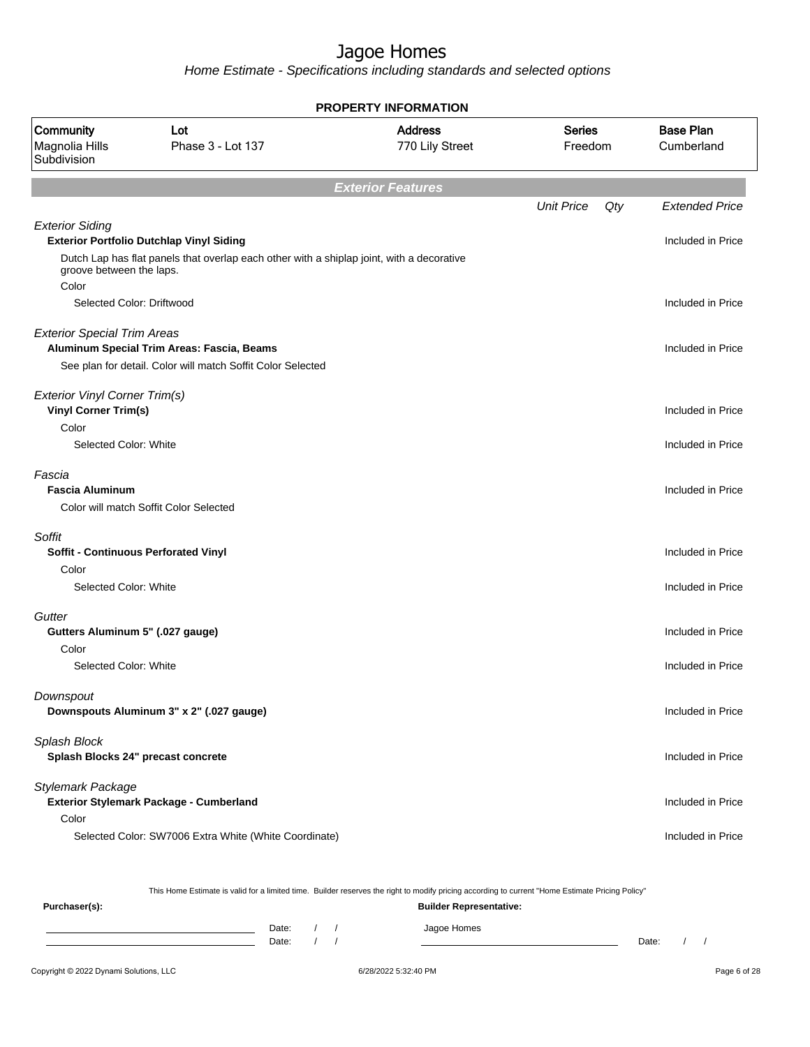Home Estimate - Specifications including standards and selected options

|                                                              |                                                                                           | <b>PROPERTY INFORMATION</b>       |                          |                                |
|--------------------------------------------------------------|-------------------------------------------------------------------------------------------|-----------------------------------|--------------------------|--------------------------------|
| Community<br>Magnolia Hills<br>Subdivision                   | Lot<br>Phase 3 - Lot 137                                                                  | <b>Address</b><br>770 Lily Street | <b>Series</b><br>Freedom | <b>Base Plan</b><br>Cumberland |
|                                                              |                                                                                           | <b>Exterior Features</b>          |                          |                                |
|                                                              |                                                                                           |                                   | <b>Unit Price</b><br>Qty | <b>Extended Price</b>          |
| <b>Exterior Siding</b>                                       |                                                                                           |                                   |                          |                                |
|                                                              | <b>Exterior Portfolio Dutchlap Vinyl Siding</b>                                           |                                   |                          | Included in Price              |
| groove between the laps.<br>Color                            | Dutch Lap has flat panels that overlap each other with a shiplap joint, with a decorative |                                   |                          |                                |
| Selected Color: Driftwood                                    |                                                                                           |                                   |                          | Included in Price              |
| <b>Exterior Special Trim Areas</b>                           | Aluminum Special Trim Areas: Fascia, Beams                                                |                                   |                          | Included in Price              |
|                                                              | See plan for detail. Color will match Soffit Color Selected                               |                                   |                          |                                |
| Exterior Vinyl Corner Trim(s)<br><b>Vinyl Corner Trim(s)</b> |                                                                                           |                                   |                          | Included in Price              |
| Color                                                        |                                                                                           |                                   |                          |                                |
| Selected Color: White                                        |                                                                                           |                                   |                          | Included in Price              |
| Fascia<br><b>Fascia Aluminum</b>                             |                                                                                           |                                   |                          | Included in Price              |
|                                                              | Color will match Soffit Color Selected                                                    |                                   |                          |                                |
| Soffit                                                       |                                                                                           |                                   |                          |                                |
|                                                              | <b>Soffit - Continuous Perforated Vinyl</b>                                               |                                   |                          | Included in Price              |
| Color<br>Selected Color: White                               |                                                                                           |                                   |                          | Included in Price              |
|                                                              |                                                                                           |                                   |                          |                                |
| Gutter                                                       |                                                                                           |                                   |                          |                                |
| Gutters Aluminum 5" (.027 gauge)<br>Color                    |                                                                                           |                                   |                          | Included in Price              |
| Selected Color: White                                        |                                                                                           |                                   |                          | Included in Price              |
| Downspout                                                    |                                                                                           |                                   |                          |                                |
|                                                              | Downspouts Aluminum 3" x 2" (.027 gauge)                                                  |                                   |                          | Included in Price              |
| Splash Block                                                 |                                                                                           |                                   |                          |                                |
|                                                              | Splash Blocks 24" precast concrete                                                        |                                   |                          | Included in Price              |
| Stylemark Package                                            |                                                                                           |                                   |                          |                                |
|                                                              | Exterior Stylemark Package - Cumberland                                                   |                                   |                          | Included in Price              |
| Color                                                        | Selected Color: SW7006 Extra White (White Coordinate)                                     |                                   |                          | Included in Price              |
|                                                              |                                                                                           |                                   |                          |                                |
|                                                              |                                                                                           |                                   |                          |                                |

This Home Estimate is valid for a limited time. Builder reserves the right to modify pricing according to current "Home Estimate Pricing Policy"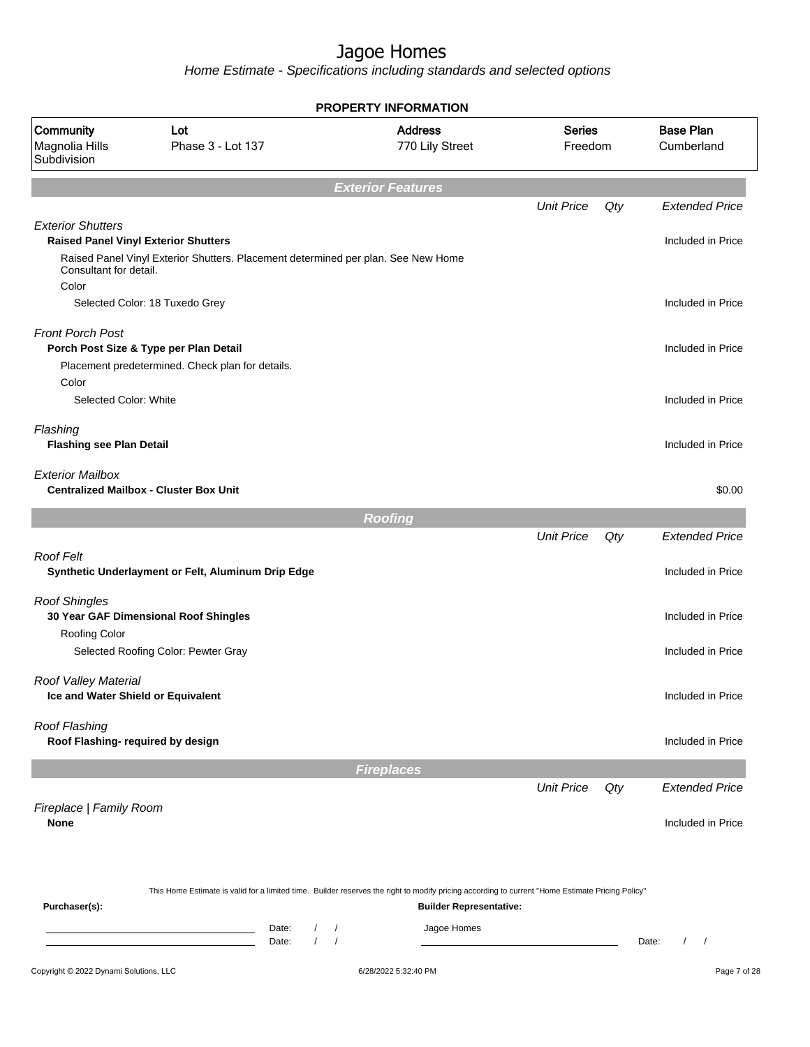Home Estimate - Specifications including standards and selected options

|                                                                                                   |                                                                                                                                                  | <b>PROPERTY INFORMATION</b>                                                                                                                                                        |                          |     |                                 |
|---------------------------------------------------------------------------------------------------|--------------------------------------------------------------------------------------------------------------------------------------------------|------------------------------------------------------------------------------------------------------------------------------------------------------------------------------------|--------------------------|-----|---------------------------------|
| Community<br>Magnolia Hills<br>Subdivision                                                        | Lot<br>Phase 3 - Lot 137                                                                                                                         | <b>Address</b><br>770 Lily Street                                                                                                                                                  | <b>Series</b><br>Freedom |     | <b>Base Plan</b><br>Cumberland  |
|                                                                                                   |                                                                                                                                                  | <b>Exterior Features</b>                                                                                                                                                           |                          |     |                                 |
|                                                                                                   |                                                                                                                                                  |                                                                                                                                                                                    | <b>Unit Price</b>        | Qty | <b>Extended Price</b>           |
| <b>Exterior Shutters</b><br><b>Raised Panel Vinyl Exterior Shutters</b><br>Consultant for detail. | Raised Panel Vinyl Exterior Shutters. Placement determined per plan. See New Home                                                                |                                                                                                                                                                                    |                          |     | Included in Price               |
| Color                                                                                             | Selected Color: 18 Tuxedo Grey                                                                                                                   |                                                                                                                                                                                    |                          |     | Included in Price               |
| <b>Front Porch Post</b>                                                                           | Porch Post Size & Type per Plan Detail<br>Placement predetermined. Check plan for details.                                                       |                                                                                                                                                                                    |                          |     | Included in Price               |
| Color<br>Selected Color: White                                                                    |                                                                                                                                                  |                                                                                                                                                                                    |                          |     | Included in Price               |
| Flashing<br><b>Flashing see Plan Detail</b>                                                       |                                                                                                                                                  |                                                                                                                                                                                    |                          |     | Included in Price               |
| <b>Exterior Mailbox</b>                                                                           | <b>Centralized Mailbox - Cluster Box Unit</b>                                                                                                    |                                                                                                                                                                                    |                          |     | \$0.00                          |
|                                                                                                   |                                                                                                                                                  | <b>Roofing</b>                                                                                                                                                                     |                          |     |                                 |
|                                                                                                   |                                                                                                                                                  |                                                                                                                                                                                    | <b>Unit Price</b>        | Qty | <b>Extended Price</b>           |
| <b>Roof Felt</b>                                                                                  | Synthetic Underlayment or Felt, Aluminum Drip Edge                                                                                               |                                                                                                                                                                                    |                          |     | Included in Price               |
| <b>Roof Shingles</b>                                                                              | 30 Year GAF Dimensional Roof Shingles                                                                                                            |                                                                                                                                                                                    |                          |     | Included in Price               |
| Roofing Color                                                                                     | Selected Roofing Color: Pewter Gray                                                                                                              |                                                                                                                                                                                    |                          |     | Included in Price               |
| Roof Valley Material<br>Ice and Water Shield or Equivalent                                        |                                                                                                                                                  |                                                                                                                                                                                    |                          |     | Included in Price               |
| Roof Flashing<br>Roof Flashing- required by design                                                |                                                                                                                                                  |                                                                                                                                                                                    |                          |     | Included in Price               |
|                                                                                                   |                                                                                                                                                  | <b>Fireplaces</b>                                                                                                                                                                  |                          |     |                                 |
|                                                                                                   |                                                                                                                                                  |                                                                                                                                                                                    | <b>Unit Price</b>        | Qty | <b>Extended Price</b>           |
| Fireplace   Family Room<br><b>None</b>                                                            |                                                                                                                                                  |                                                                                                                                                                                    |                          |     | Included in Price               |
| Purchaser(s):                                                                                     |                                                                                                                                                  | This Home Estimate is valid for a limited time. Builder reserves the right to modify pricing according to current "Home Estimate Pricing Policy"<br><b>Builder Representative:</b> |                          |     |                                 |
|                                                                                                   | Date:<br>$\sqrt{2}$<br>the control of the control of the control of the<br>$\prime$<br>the control of the control of the control of the<br>Date: | Jagoe Homes<br>$\prime$<br>$\prime$                                                                                                                                                |                          |     | Date:<br>$\sqrt{2}$<br>$\prime$ |
| Copyright © 2022 Dynami Solutions, LLC                                                            |                                                                                                                                                  | 6/28/2022 5:32:40 PM                                                                                                                                                               |                          |     | Page 7 of 28                    |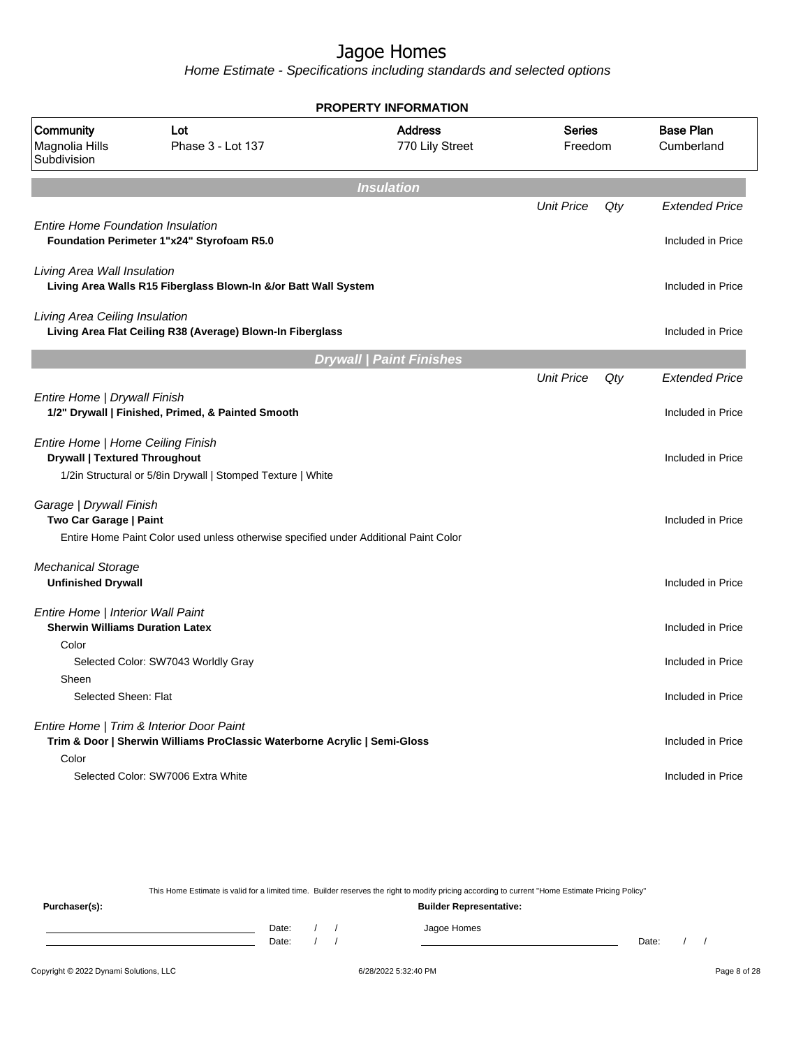Home Estimate - Specifications including standards and selected options

| <b>PROPERTY INFORMATION</b>                                                          |                                                                                      |                                   |                          |     |                                |  |  |  |  |  |
|--------------------------------------------------------------------------------------|--------------------------------------------------------------------------------------|-----------------------------------|--------------------------|-----|--------------------------------|--|--|--|--|--|
| Community<br>Magnolia Hills<br>Subdivision                                           | Lot<br>Phase 3 - Lot 137                                                             | <b>Address</b><br>770 Lily Street | <b>Series</b><br>Freedom |     | <b>Base Plan</b><br>Cumberland |  |  |  |  |  |
|                                                                                      |                                                                                      | <b>Insulation</b>                 |                          |     |                                |  |  |  |  |  |
|                                                                                      |                                                                                      |                                   | <b>Unit Price</b>        | Qty | <b>Extended Price</b>          |  |  |  |  |  |
| <b>Entire Home Foundation Insulation</b>                                             | Foundation Perimeter 1"x24" Styrofoam R5.0                                           |                                   |                          |     | Included in Price              |  |  |  |  |  |
| Living Area Wall Insulation                                                          | Living Area Walls R15 Fiberglass Blown-In &/or Batt Wall System                      |                                   |                          |     | Included in Price              |  |  |  |  |  |
| Living Area Ceiling Insulation                                                       | Living Area Flat Ceiling R38 (Average) Blown-In Fiberglass                           |                                   |                          |     | Included in Price              |  |  |  |  |  |
|                                                                                      |                                                                                      | <b>Drywall   Paint Finishes</b>   |                          |     |                                |  |  |  |  |  |
|                                                                                      |                                                                                      |                                   | <b>Unit Price</b>        | Qty | <b>Extended Price</b>          |  |  |  |  |  |
| Entire Home   Drywall Finish                                                         | 1/2" Drywall   Finished, Primed, & Painted Smooth                                    |                                   |                          |     | Included in Price              |  |  |  |  |  |
| Entire Home   Home Ceiling Finish<br><b>Drywall   Textured Throughout</b>            | 1/2in Structural or 5/8in Drywall   Stomped Texture   White                          |                                   |                          |     | Included in Price              |  |  |  |  |  |
| Garage   Drywall Finish<br>Two Car Garage   Paint                                    | Entire Home Paint Color used unless otherwise specified under Additional Paint Color |                                   |                          |     | Included in Price              |  |  |  |  |  |
| <b>Mechanical Storage</b><br><b>Unfinished Drywall</b>                               |                                                                                      |                                   |                          |     | Included in Price              |  |  |  |  |  |
| Entire Home   Interior Wall Paint<br><b>Sherwin Williams Duration Latex</b><br>Color |                                                                                      |                                   |                          |     | Included in Price              |  |  |  |  |  |
| Sheen                                                                                | Selected Color: SW7043 Worldly Gray                                                  |                                   |                          |     | Included in Price              |  |  |  |  |  |
| Selected Sheen: Flat                                                                 |                                                                                      |                                   |                          |     | Included in Price              |  |  |  |  |  |
| Entire Home   Trim & Interior Door Paint<br>Color                                    | Trim & Door   Sherwin Williams ProClassic Waterborne Acrylic   Semi-Gloss            |                                   |                          |     | Included in Price              |  |  |  |  |  |
|                                                                                      | Selected Color: SW7006 Extra White                                                   |                                   |                          |     | Included in Price              |  |  |  |  |  |

This Home Estimate is valid for a limited time. Builder reserves the right to modify pricing according to current "Home Estimate Pricing Policy"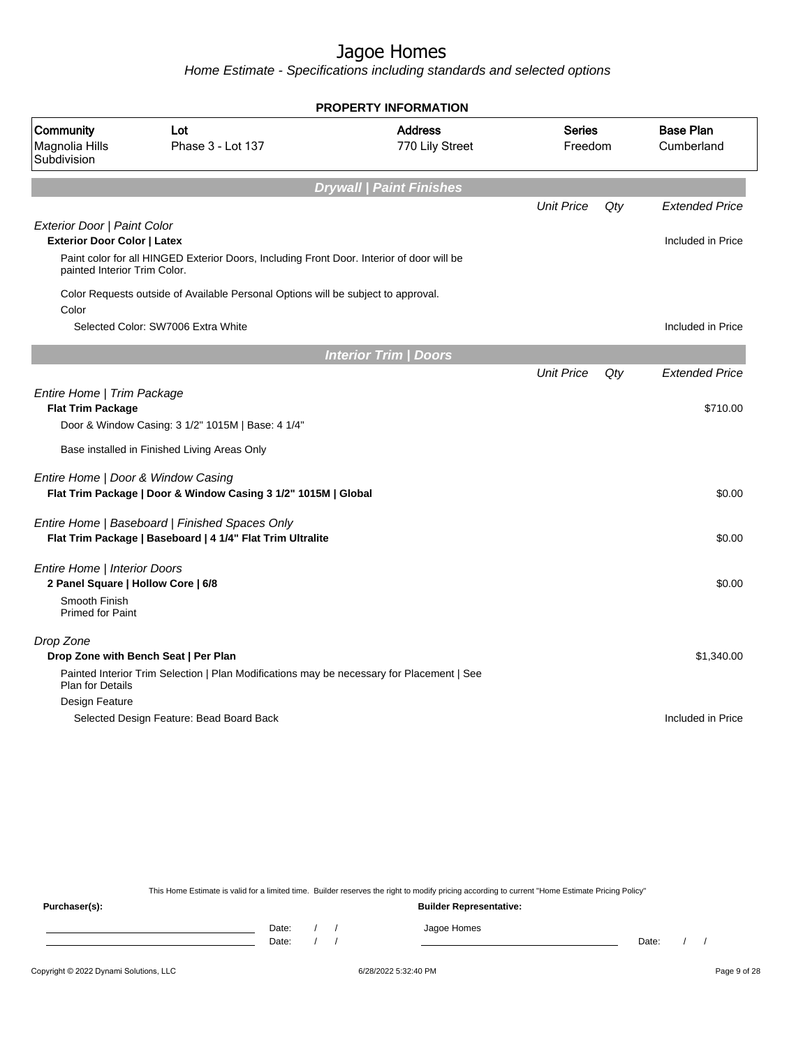Home Estimate - Specifications including standards and selected options

|                                                                    |                                                                                                              | <b>PROPERTY INFORMATION</b>       |                          |     |                                            |
|--------------------------------------------------------------------|--------------------------------------------------------------------------------------------------------------|-----------------------------------|--------------------------|-----|--------------------------------------------|
| Community<br>Magnolia Hills<br>Subdivision                         | Lot<br>Phase 3 - Lot 137                                                                                     | <b>Address</b><br>770 Lily Street | <b>Series</b><br>Freedom |     | <b>Base Plan</b><br>Cumberland             |
|                                                                    |                                                                                                              | <b>Drywall   Paint Finishes</b>   |                          |     |                                            |
| Exterior Door   Paint Color<br><b>Exterior Door Color   Latex</b>  |                                                                                                              |                                   | <b>Unit Price</b>        | Qty | <b>Extended Price</b><br>Included in Price |
| painted Interior Trim Color.                                       | Paint color for all HINGED Exterior Doors, Including Front Door. Interior of door will be                    |                                   |                          |     |                                            |
| Color                                                              | Color Requests outside of Available Personal Options will be subject to approval.                            |                                   |                          |     |                                            |
|                                                                    | Selected Color: SW7006 Extra White                                                                           |                                   |                          |     | Included in Price                          |
|                                                                    |                                                                                                              | <b>Interior Trim / Doors</b>      |                          |     |                                            |
|                                                                    |                                                                                                              |                                   | <b>Unit Price</b>        | Qty | <b>Extended Price</b>                      |
| Entire Home   Trim Package<br><b>Flat Trim Package</b>             |                                                                                                              |                                   |                          |     | \$710.00                                   |
|                                                                    | Door & Window Casing: 3 1/2" 1015M   Base: 4 1/4"                                                            |                                   |                          |     |                                            |
|                                                                    | Base installed in Finished Living Areas Only                                                                 |                                   |                          |     |                                            |
| Entire Home   Door & Window Casing                                 | Flat Trim Package   Door & Window Casing 3 1/2" 1015M   Global                                               |                                   |                          |     | \$0.00                                     |
|                                                                    | Entire Home   Baseboard   Finished Spaces Only<br>Flat Trim Package   Baseboard   4 1/4" Flat Trim Ultralite |                                   |                          |     | \$0.00                                     |
| Entire Home   Interior Doors<br>2 Panel Square   Hollow Core   6/8 |                                                                                                              |                                   |                          |     | \$0.00                                     |
| Smooth Finish<br><b>Primed for Paint</b>                           |                                                                                                              |                                   |                          |     |                                            |
| Drop Zone                                                          |                                                                                                              |                                   |                          |     |                                            |
|                                                                    | Drop Zone with Bench Seat   Per Plan                                                                         |                                   |                          |     | \$1,340.00                                 |
| <b>Plan for Details</b>                                            | Painted Interior Trim Selection   Plan Modifications may be necessary for Placement   See                    |                                   |                          |     |                                            |
| Design Feature                                                     |                                                                                                              |                                   |                          |     |                                            |
|                                                                    | Selected Design Feature: Bead Board Back                                                                     |                                   |                          |     | Included in Price                          |
|                                                                    |                                                                                                              |                                   |                          |     |                                            |

This Home Estimate is valid for a limited time. Builder reserves the right to modify pricing according to current "Home Estimate Pricing Policy"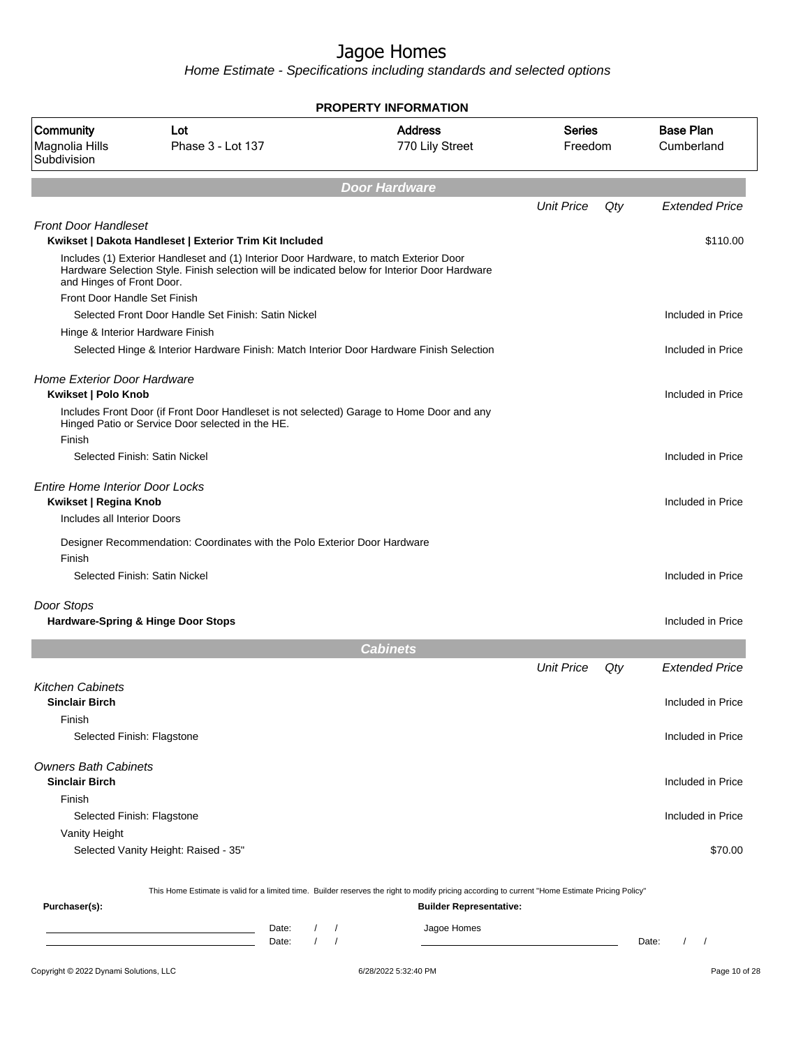Home Estimate - Specifications including standards and selected options

| <b>PROPERTY INFORMATION</b>                                     |                                                                                                                                                                                         |                                                               |                   |     |                                 |  |  |  |
|-----------------------------------------------------------------|-----------------------------------------------------------------------------------------------------------------------------------------------------------------------------------------|---------------------------------------------------------------|-------------------|-----|---------------------------------|--|--|--|
| Community<br>Magnolia Hills<br>Subdivision                      | Lot<br>Phase 3 - Lot 137                                                                                                                                                                | <b>Address</b><br><b>Series</b><br>770 Lily Street<br>Freedom |                   |     | <b>Base Plan</b><br>Cumberland  |  |  |  |
|                                                                 |                                                                                                                                                                                         | <b>Door Hardware</b>                                          |                   |     |                                 |  |  |  |
|                                                                 |                                                                                                                                                                                         |                                                               | <b>Unit Price</b> | Qty | <b>Extended Price</b>           |  |  |  |
| <b>Front Door Handleset</b>                                     | Kwikset   Dakota Handleset   Exterior Trim Kit Included                                                                                                                                 |                                                               |                   |     | \$110.00                        |  |  |  |
| and Hinges of Front Door.                                       | Includes (1) Exterior Handleset and (1) Interior Door Hardware, to match Exterior Door<br>Hardware Selection Style. Finish selection will be indicated below for Interior Door Hardware |                                                               |                   |     |                                 |  |  |  |
| Front Door Handle Set Finish                                    |                                                                                                                                                                                         |                                                               |                   |     |                                 |  |  |  |
|                                                                 | Selected Front Door Handle Set Finish: Satin Nickel                                                                                                                                     |                                                               |                   |     | Included in Price               |  |  |  |
| Hinge & Interior Hardware Finish                                |                                                                                                                                                                                         |                                                               |                   |     |                                 |  |  |  |
|                                                                 | Selected Hinge & Interior Hardware Finish: Match Interior Door Hardware Finish Selection                                                                                                |                                                               |                   |     | Included in Price               |  |  |  |
| <b>Home Exterior Door Hardware</b><br>Kwikset   Polo Knob       |                                                                                                                                                                                         |                                                               |                   |     | Included in Price               |  |  |  |
| Finish                                                          | Includes Front Door (if Front Door Handleset is not selected) Garage to Home Door and any<br>Hinged Patio or Service Door selected in the HE.                                           |                                                               |                   |     |                                 |  |  |  |
|                                                                 | Selected Finish: Satin Nickel                                                                                                                                                           |                                                               |                   |     | Included in Price               |  |  |  |
| <b>Entire Home Interior Door Locks</b><br>Kwikset   Regina Knob |                                                                                                                                                                                         |                                                               |                   |     | Included in Price               |  |  |  |
| Includes all Interior Doors                                     |                                                                                                                                                                                         |                                                               |                   |     |                                 |  |  |  |
| Finish                                                          | Designer Recommendation: Coordinates with the Polo Exterior Door Hardware                                                                                                               |                                                               |                   |     |                                 |  |  |  |
|                                                                 | Selected Finish: Satin Nickel                                                                                                                                                           |                                                               |                   |     | Included in Price               |  |  |  |
| Door Stops                                                      | Hardware-Spring & Hinge Door Stops                                                                                                                                                      |                                                               |                   |     | Included in Price               |  |  |  |
|                                                                 |                                                                                                                                                                                         | <b>Cabinets</b>                                               |                   |     |                                 |  |  |  |
|                                                                 |                                                                                                                                                                                         |                                                               | <b>Unit Price</b> | Qty | <b>Extended Price</b>           |  |  |  |
| <b>Kitchen Cabinets</b><br><b>Sinclair Birch</b>                |                                                                                                                                                                                         |                                                               |                   |     | Included in Price               |  |  |  |
| Finish                                                          |                                                                                                                                                                                         |                                                               |                   |     |                                 |  |  |  |
| Selected Finish: Flagstone                                      |                                                                                                                                                                                         |                                                               |                   |     | Included in Price               |  |  |  |
| <b>Owners Bath Cabinets</b><br><b>Sinclair Birch</b>            |                                                                                                                                                                                         |                                                               |                   |     | Included in Price               |  |  |  |
| Finish<br>Selected Finish: Flagstone                            |                                                                                                                                                                                         |                                                               |                   |     | Included in Price               |  |  |  |
| Vanity Height                                                   |                                                                                                                                                                                         |                                                               |                   |     |                                 |  |  |  |
|                                                                 | Selected Vanity Height: Raised - 35"                                                                                                                                                    |                                                               |                   |     | \$70.00                         |  |  |  |
|                                                                 | This Home Estimate is valid for a limited time. Builder reserves the right to modify pricing according to current "Home Estimate Pricing Policy"                                        |                                                               |                   |     |                                 |  |  |  |
| Purchaser(s):                                                   |                                                                                                                                                                                         | <b>Builder Representative:</b>                                |                   |     |                                 |  |  |  |
|                                                                 | $\sqrt{2}$<br>Date:<br><u> 1980 - John Stein, mars and de Barbara (b. 1980)</u><br>$\prime$<br>Date:                                                                                    | Jagoe Homes<br>$\sqrt{2}$<br>$\sqrt{ }$                       |                   |     | $\prime$<br>$\sqrt{ }$<br>Date: |  |  |  |
| Copyright © 2022 Dynami Solutions, LLC                          |                                                                                                                                                                                         | 6/28/2022 5:32:40 PM                                          |                   |     | Page 10 of 28                   |  |  |  |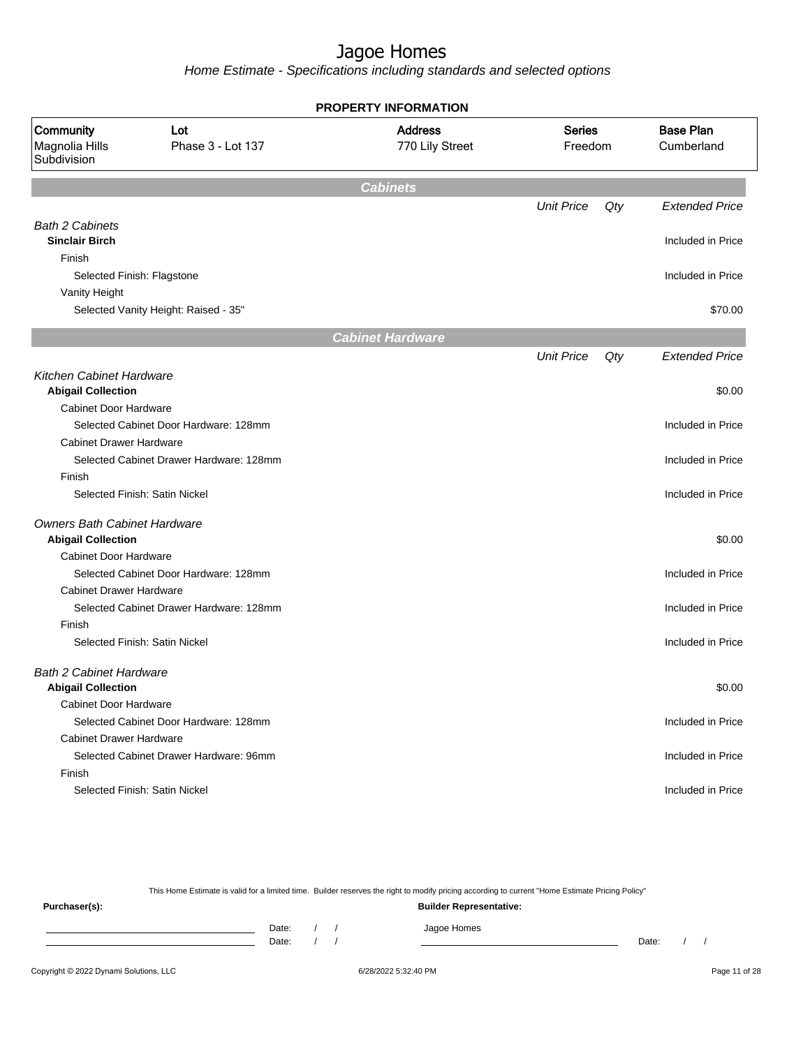Home Estimate - Specifications including standards and selected options

| <b>PROPERTY INFORMATION</b>                                            |                                         |                                   |                          |     |                                |  |  |  |  |
|------------------------------------------------------------------------|-----------------------------------------|-----------------------------------|--------------------------|-----|--------------------------------|--|--|--|--|
| Community<br>Lot<br>Phase 3 - Lot 137<br>Magnolia Hills<br>Subdivision |                                         | <b>Address</b><br>770 Lily Street | <b>Series</b><br>Freedom |     | <b>Base Plan</b><br>Cumberland |  |  |  |  |
|                                                                        |                                         |                                   |                          |     |                                |  |  |  |  |
|                                                                        |                                         | <b>Cabinets</b>                   |                          |     |                                |  |  |  |  |
|                                                                        |                                         |                                   | <b>Unit Price</b>        | Qty | <b>Extended Price</b>          |  |  |  |  |
| <b>Bath 2 Cabinets</b>                                                 |                                         |                                   |                          |     |                                |  |  |  |  |
| <b>Sinclair Birch</b>                                                  |                                         |                                   |                          |     | Included in Price              |  |  |  |  |
| Finish                                                                 |                                         |                                   |                          |     |                                |  |  |  |  |
| Selected Finish: Flagstone                                             |                                         |                                   |                          |     | Included in Price              |  |  |  |  |
| Vanity Height                                                          |                                         |                                   |                          |     |                                |  |  |  |  |
|                                                                        | Selected Vanity Height: Raised - 35"    |                                   |                          |     | \$70.00                        |  |  |  |  |
|                                                                        |                                         | <b>Cabinet Hardware</b>           |                          |     |                                |  |  |  |  |
|                                                                        |                                         |                                   | <b>Unit Price</b>        | Qty | <b>Extended Price</b>          |  |  |  |  |
| <b>Kitchen Cabinet Hardware</b>                                        |                                         |                                   |                          |     |                                |  |  |  |  |
| <b>Abigail Collection</b>                                              |                                         |                                   |                          |     | \$0.00                         |  |  |  |  |
| <b>Cabinet Door Hardware</b>                                           |                                         |                                   |                          |     |                                |  |  |  |  |
|                                                                        | Selected Cabinet Door Hardware: 128mm   |                                   |                          |     | Included in Price              |  |  |  |  |
| <b>Cabinet Drawer Hardware</b>                                         |                                         |                                   |                          |     |                                |  |  |  |  |
|                                                                        | Selected Cabinet Drawer Hardware: 128mm |                                   |                          |     | Included in Price              |  |  |  |  |
| Finish                                                                 |                                         |                                   |                          |     |                                |  |  |  |  |
|                                                                        | Selected Finish: Satin Nickel           |                                   |                          |     | Included in Price              |  |  |  |  |
| <b>Owners Bath Cabinet Hardware</b>                                    |                                         |                                   |                          |     |                                |  |  |  |  |
| <b>Abigail Collection</b>                                              |                                         |                                   |                          |     | \$0.00                         |  |  |  |  |
| <b>Cabinet Door Hardware</b>                                           |                                         |                                   |                          |     |                                |  |  |  |  |
|                                                                        | Selected Cabinet Door Hardware: 128mm   |                                   |                          |     | Included in Price              |  |  |  |  |
| <b>Cabinet Drawer Hardware</b>                                         |                                         |                                   |                          |     |                                |  |  |  |  |
|                                                                        | Selected Cabinet Drawer Hardware: 128mm |                                   |                          |     | Included in Price              |  |  |  |  |
| Finish                                                                 |                                         |                                   |                          |     |                                |  |  |  |  |
|                                                                        | Selected Finish: Satin Nickel           |                                   |                          |     | Included in Price              |  |  |  |  |
| <b>Bath 2 Cabinet Hardware</b>                                         |                                         |                                   |                          |     |                                |  |  |  |  |
| <b>Abigail Collection</b>                                              |                                         |                                   |                          |     | \$0.00                         |  |  |  |  |
| <b>Cabinet Door Hardware</b>                                           |                                         |                                   |                          |     |                                |  |  |  |  |
|                                                                        | Selected Cabinet Door Hardware: 128mm   |                                   |                          |     | Included in Price              |  |  |  |  |
| <b>Cabinet Drawer Hardware</b>                                         |                                         |                                   |                          |     |                                |  |  |  |  |
|                                                                        | Selected Cabinet Drawer Hardware: 96mm  |                                   |                          |     | Included in Price              |  |  |  |  |
| Finish                                                                 |                                         |                                   |                          |     |                                |  |  |  |  |
|                                                                        | Selected Finish: Satin Nickel           |                                   |                          |     | Included in Price              |  |  |  |  |
|                                                                        |                                         |                                   |                          |     |                                |  |  |  |  |

This Home Estimate is valid for a limited time. Builder reserves the right to modify pricing according to current "Home Estimate Pricing Policy"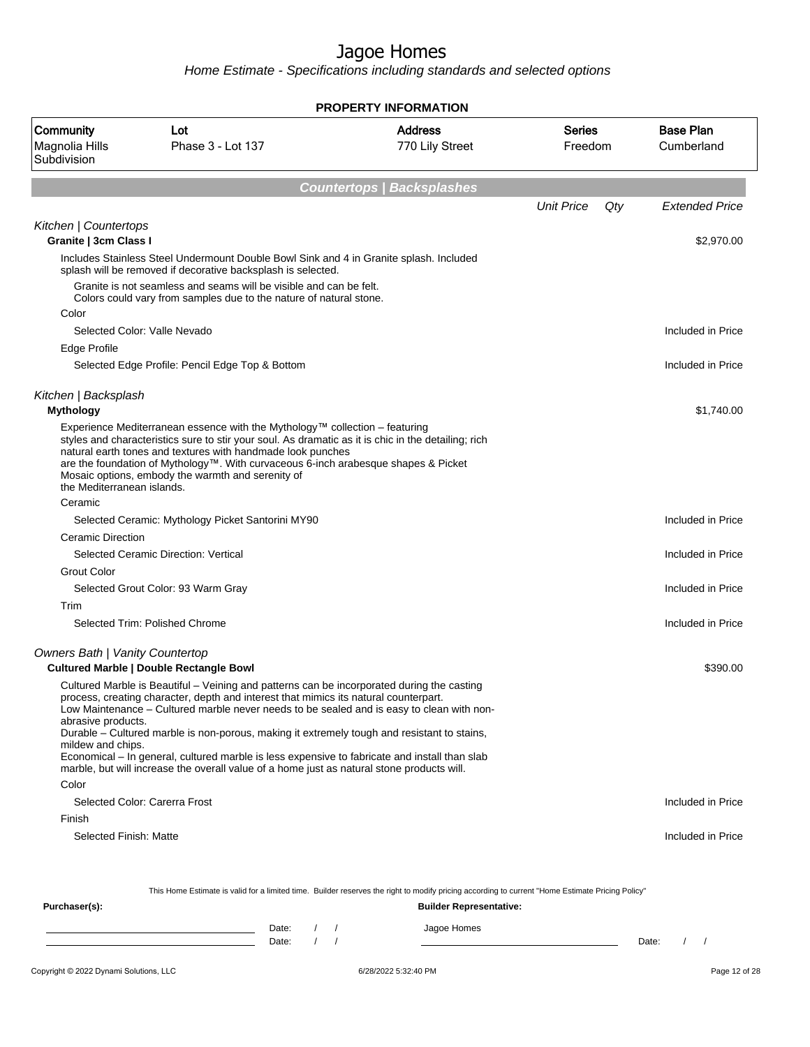Home Estimate - Specifications including standards and selected options

| <b>PROPERTY INFORMATION</b>                       |                                                                                                                                                                                                                                                                                                                                                                                                                                                                                                                                                                               |                                   |                          |                                |  |  |  |
|---------------------------------------------------|-------------------------------------------------------------------------------------------------------------------------------------------------------------------------------------------------------------------------------------------------------------------------------------------------------------------------------------------------------------------------------------------------------------------------------------------------------------------------------------------------------------------------------------------------------------------------------|-----------------------------------|--------------------------|--------------------------------|--|--|--|
| <b>Community</b><br>Magnolia Hills<br>Subdivision | Lot<br>Phase 3 - Lot 137                                                                                                                                                                                                                                                                                                                                                                                                                                                                                                                                                      | <b>Address</b><br>770 Lily Street | <b>Series</b><br>Freedom | <b>Base Plan</b><br>Cumberland |  |  |  |
|                                                   |                                                                                                                                                                                                                                                                                                                                                                                                                                                                                                                                                                               |                                   |                          |                                |  |  |  |
|                                                   |                                                                                                                                                                                                                                                                                                                                                                                                                                                                                                                                                                               | <b>Countertops   Backsplashes</b> |                          |                                |  |  |  |
|                                                   |                                                                                                                                                                                                                                                                                                                                                                                                                                                                                                                                                                               |                                   | <b>Unit Price</b><br>Qty | <b>Extended Price</b>          |  |  |  |
| Kitchen   Countertops<br>Granite   3cm Class I    |                                                                                                                                                                                                                                                                                                                                                                                                                                                                                                                                                                               |                                   |                          | \$2,970.00                     |  |  |  |
|                                                   | Includes Stainless Steel Undermount Double Bowl Sink and 4 in Granite splash. Included                                                                                                                                                                                                                                                                                                                                                                                                                                                                                        |                                   |                          |                                |  |  |  |
|                                                   | splash will be removed if decorative backsplash is selected.                                                                                                                                                                                                                                                                                                                                                                                                                                                                                                                  |                                   |                          |                                |  |  |  |
|                                                   | Granite is not seamless and seams will be visible and can be felt.<br>Colors could vary from samples due to the nature of natural stone.                                                                                                                                                                                                                                                                                                                                                                                                                                      |                                   |                          |                                |  |  |  |
| Color                                             |                                                                                                                                                                                                                                                                                                                                                                                                                                                                                                                                                                               |                                   |                          |                                |  |  |  |
| Selected Color: Valle Nevado                      |                                                                                                                                                                                                                                                                                                                                                                                                                                                                                                                                                                               |                                   |                          | Included in Price              |  |  |  |
| Edge Profile                                      |                                                                                                                                                                                                                                                                                                                                                                                                                                                                                                                                                                               |                                   |                          |                                |  |  |  |
|                                                   | Selected Edge Profile: Pencil Edge Top & Bottom                                                                                                                                                                                                                                                                                                                                                                                                                                                                                                                               |                                   |                          | Included in Price              |  |  |  |
| Kitchen   Backsplash                              |                                                                                                                                                                                                                                                                                                                                                                                                                                                                                                                                                                               |                                   |                          |                                |  |  |  |
| <b>Mythology</b>                                  |                                                                                                                                                                                                                                                                                                                                                                                                                                                                                                                                                                               |                                   |                          | \$1,740.00                     |  |  |  |
| the Mediterranean islands.                        | Experience Mediterranean essence with the Mythology™ collection – featuring<br>styles and characteristics sure to stir your soul. As dramatic as it is chic in the detailing; rich<br>natural earth tones and textures with handmade look punches<br>are the foundation of Mythology™. With curvaceous 6-inch arabesque shapes & Picket<br>Mosaic options, embody the warmth and serenity of                                                                                                                                                                                  |                                   |                          |                                |  |  |  |
| Ceramic                                           |                                                                                                                                                                                                                                                                                                                                                                                                                                                                                                                                                                               |                                   |                          |                                |  |  |  |
|                                                   | Selected Ceramic: Mythology Picket Santorini MY90                                                                                                                                                                                                                                                                                                                                                                                                                                                                                                                             |                                   |                          | Included in Price              |  |  |  |
| <b>Ceramic Direction</b>                          |                                                                                                                                                                                                                                                                                                                                                                                                                                                                                                                                                                               |                                   |                          |                                |  |  |  |
|                                                   | Selected Ceramic Direction: Vertical                                                                                                                                                                                                                                                                                                                                                                                                                                                                                                                                          |                                   |                          | Included in Price              |  |  |  |
| <b>Grout Color</b>                                |                                                                                                                                                                                                                                                                                                                                                                                                                                                                                                                                                                               |                                   |                          |                                |  |  |  |
|                                                   | Selected Grout Color: 93 Warm Gray                                                                                                                                                                                                                                                                                                                                                                                                                                                                                                                                            |                                   |                          | Included in Price              |  |  |  |
| Trim                                              |                                                                                                                                                                                                                                                                                                                                                                                                                                                                                                                                                                               |                                   |                          |                                |  |  |  |
|                                                   | Selected Trim: Polished Chrome                                                                                                                                                                                                                                                                                                                                                                                                                                                                                                                                                |                                   |                          | Included in Price              |  |  |  |
| <b>Owners Bath   Vanity Countertop</b>            |                                                                                                                                                                                                                                                                                                                                                                                                                                                                                                                                                                               |                                   |                          |                                |  |  |  |
|                                                   | <b>Cultured Marble   Double Rectangle Bowl</b>                                                                                                                                                                                                                                                                                                                                                                                                                                                                                                                                |                                   |                          | \$390.00                       |  |  |  |
| abrasive products.<br>mildew and chips.           | Cultured Marble is Beautiful – Veining and patterns can be incorporated during the casting<br>process, creating character, depth and interest that mimics its natural counterpart.<br>Low Maintenance – Cultured marble never needs to be sealed and is easy to clean with non-<br>Durable – Cultured marble is non-porous, making it extremely tough and resistant to stains,<br>Economical – In general, cultured marble is less expensive to fabricate and install than slab<br>marble, but will increase the overall value of a home just as natural stone products will. |                                   |                          |                                |  |  |  |
| Color                                             |                                                                                                                                                                                                                                                                                                                                                                                                                                                                                                                                                                               |                                   |                          |                                |  |  |  |
|                                                   | Selected Color: Carerra Frost                                                                                                                                                                                                                                                                                                                                                                                                                                                                                                                                                 |                                   |                          | Included in Price              |  |  |  |
| Finish                                            |                                                                                                                                                                                                                                                                                                                                                                                                                                                                                                                                                                               |                                   |                          |                                |  |  |  |
| Selected Finish: Matte                            |                                                                                                                                                                                                                                                                                                                                                                                                                                                                                                                                                                               |                                   |                          | Included in Price              |  |  |  |
|                                                   | This Home Estimate is valid for a limited time. Builder reserves the right to modify pricing according to current "Home Estimate Pricing Policy"                                                                                                                                                                                                                                                                                                                                                                                                                              |                                   |                          |                                |  |  |  |
| Purchaser(s):                                     |                                                                                                                                                                                                                                                                                                                                                                                                                                                                                                                                                                               | <b>Builder Representative:</b>    |                          |                                |  |  |  |

Date: / / Jagoe Homes<br>Date: / / Jagoe Homes Date: / / Date: / /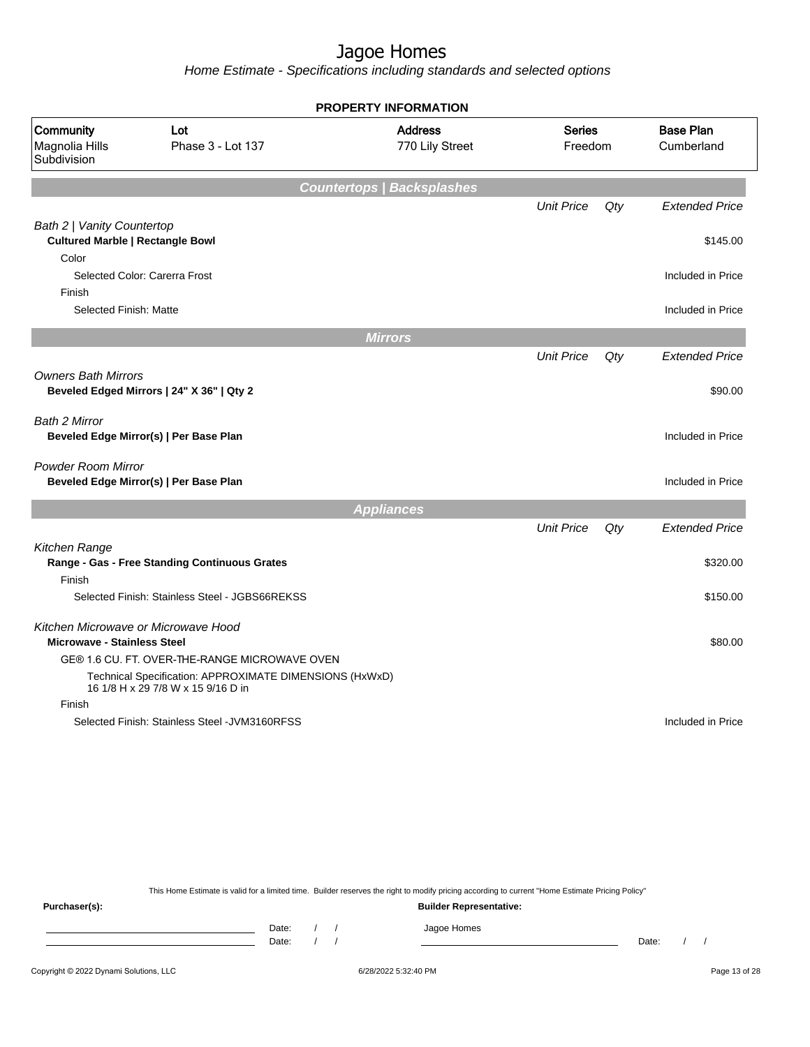Home Estimate - Specifications including standards and selected options

|                                            |                                                                                               | <b>PROPERTY INFORMATION</b>       |                          |        |                                |
|--------------------------------------------|-----------------------------------------------------------------------------------------------|-----------------------------------|--------------------------|--------|--------------------------------|
| Community<br>Magnolia Hills<br>Subdivision | Lot<br>Phase 3 - Lot 137                                                                      | <b>Address</b><br>770 Lily Street | <b>Series</b><br>Freedom |        | <b>Base Plan</b><br>Cumberland |
|                                            |                                                                                               | <b>Countertops   Backsplashes</b> |                          |        |                                |
|                                            |                                                                                               |                                   | <b>Unit Price</b>        | Qty    | <b>Extended Price</b>          |
| Bath 2   Vanity Countertop                 |                                                                                               |                                   |                          |        |                                |
| <b>Cultured Marble   Rectangle Bowl</b>    |                                                                                               |                                   |                          |        | \$145.00                       |
| Color                                      |                                                                                               |                                   |                          |        |                                |
|                                            | Selected Color: Carerra Frost                                                                 |                                   |                          |        | Included in Price              |
| Finish                                     |                                                                                               |                                   |                          |        |                                |
| Selected Finish: Matte                     |                                                                                               |                                   |                          |        | Included in Price              |
|                                            |                                                                                               | <b>Mirrors</b>                    |                          |        |                                |
|                                            |                                                                                               |                                   | <b>Unit Price</b>        | Qty    | <b>Extended Price</b>          |
| <b>Owners Bath Mirrors</b>                 |                                                                                               |                                   |                          |        |                                |
|                                            | Beveled Edged Mirrors   24" X 36"   Qty 2                                                     |                                   |                          |        | \$90.00                        |
| Bath 2 Mirror                              |                                                                                               |                                   |                          |        |                                |
|                                            | Beveled Edge Mirror(s)   Per Base Plan                                                        |                                   |                          |        | Included in Price              |
|                                            |                                                                                               |                                   |                          |        |                                |
| <b>Powder Room Mirror</b>                  |                                                                                               |                                   |                          |        |                                |
|                                            | Beveled Edge Mirror(s)   Per Base Plan                                                        |                                   |                          |        | Included in Price              |
|                                            |                                                                                               | <b>Appliances</b>                 |                          |        |                                |
|                                            |                                                                                               |                                   | <b>Unit Price</b>        | $Q$ ty | <b>Extended Price</b>          |
| Kitchen Range                              |                                                                                               |                                   |                          |        |                                |
|                                            | Range - Gas - Free Standing Continuous Grates                                                 |                                   |                          |        | \$320.00                       |
| Finish                                     |                                                                                               |                                   |                          |        |                                |
|                                            | Selected Finish: Stainless Steel - JGBS66REKSS                                                |                                   |                          |        | \$150.00                       |
| Kitchen Microwave or Microwave Hood        |                                                                                               |                                   |                          |        |                                |
| <b>Microwave - Stainless Steel</b>         |                                                                                               |                                   |                          |        | \$80.00                        |
|                                            | GE® 1.6 CU. FT. OVER-THE-RANGE MICROWAVE OVEN                                                 |                                   |                          |        |                                |
|                                            | Technical Specification: APPROXIMATE DIMENSIONS (HxWxD)<br>16 1/8 H x 29 7/8 W x 15 9/16 D in |                                   |                          |        |                                |
| Finish                                     |                                                                                               |                                   |                          |        |                                |
|                                            | Selected Finish: Stainless Steel - JVM3160RFSS                                                |                                   |                          |        | Included in Price              |
|                                            |                                                                                               |                                   |                          |        |                                |

This Home Estimate is valid for a limited time. Builder reserves the right to modify pricing according to current "Home Estimate Pricing Policy"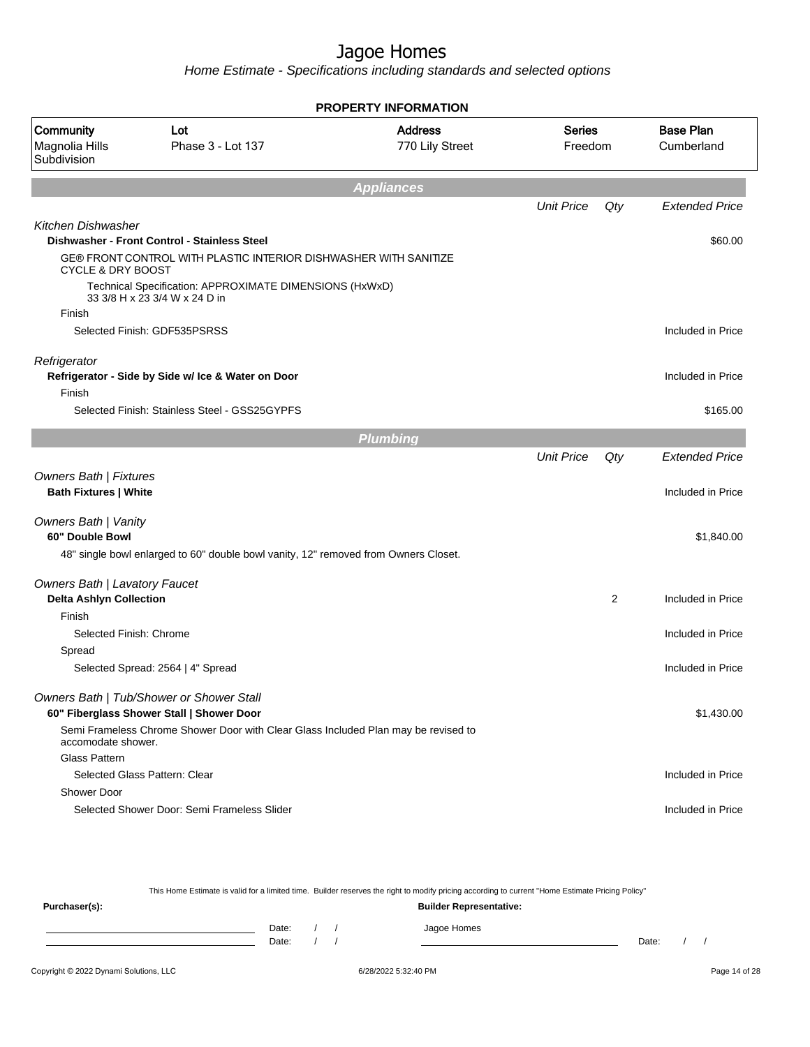Home Estimate - Specifications including standards and selected options

|                                                                 |                                                                                          | <b>PROPERTY INFORMATION</b>       |                          |     |                                |
|-----------------------------------------------------------------|------------------------------------------------------------------------------------------|-----------------------------------|--------------------------|-----|--------------------------------|
| Community<br>Magnolia Hills<br>Subdivision                      | Lot<br>Phase 3 - Lot 137                                                                 | <b>Address</b><br>770 Lily Street | <b>Series</b><br>Freedom |     | <b>Base Plan</b><br>Cumberland |
|                                                                 |                                                                                          | <b>Appliances</b>                 |                          |     |                                |
|                                                                 |                                                                                          |                                   | <b>Unit Price</b>        | Qty | <b>Extended Price</b>          |
| <b>Kitchen Dishwasher</b>                                       |                                                                                          |                                   |                          |     |                                |
|                                                                 | Dishwasher - Front Control - Stainless Steel                                             |                                   |                          |     | \$60.00                        |
| <b>CYCLE &amp; DRY BOOST</b>                                    | GE® FRONT CONTROL WITH PLASTIC INTERIOR DISHWASHER WITH SANITIZE                         |                                   |                          |     |                                |
|                                                                 | Technical Specification: APPROXIMATE DIMENSIONS (HxWxD)<br>33 3/8 H x 23 3/4 W x 24 D in |                                   |                          |     |                                |
| Finish                                                          |                                                                                          |                                   |                          |     |                                |
|                                                                 | Selected Finish: GDF535PSRSS                                                             |                                   |                          |     | Included in Price              |
| Refrigerator                                                    | Refrigerator - Side by Side w/ Ice & Water on Door                                       |                                   |                          |     | Included in Price              |
| Finish                                                          |                                                                                          |                                   |                          |     |                                |
|                                                                 | Selected Finish: Stainless Steel - GSS25GYPFS                                            |                                   |                          |     | \$165.00                       |
|                                                                 |                                                                                          | <b>Plumbing</b>                   |                          |     |                                |
|                                                                 |                                                                                          |                                   | <b>Unit Price</b>        | Qty | <b>Extended Price</b>          |
| <b>Owners Bath   Fixtures</b><br><b>Bath Fixtures   White</b>   |                                                                                          |                                   |                          |     | Included in Price              |
| <b>Owners Bath   Vanity</b>                                     |                                                                                          |                                   |                          |     |                                |
| 60" Double Bowl                                                 |                                                                                          |                                   |                          |     | \$1,840.00                     |
|                                                                 | 48" single bowl enlarged to 60" double bowl vanity, 12" removed from Owners Closet.      |                                   |                          |     |                                |
| Owners Bath   Lavatory Faucet<br><b>Delta Ashlyn Collection</b> |                                                                                          |                                   |                          | 2   | Included in Price              |
| Finish                                                          |                                                                                          |                                   |                          |     |                                |
| Selected Finish: Chrome                                         |                                                                                          |                                   |                          |     | Included in Price              |
| Spread                                                          |                                                                                          |                                   |                          |     |                                |
|                                                                 | Selected Spread: 2564   4" Spread                                                        |                                   |                          |     | Included in Price              |
|                                                                 | Owners Bath   Tub/Shower or Shower Stall                                                 |                                   |                          |     |                                |
|                                                                 | 60" Fiberglass Shower Stall   Shower Door                                                |                                   |                          |     | \$1,430.00                     |
| accomodate shower.                                              | Semi Frameless Chrome Shower Door with Clear Glass Included Plan may be revised to       |                                   |                          |     |                                |
| <b>Glass Pattern</b>                                            |                                                                                          |                                   |                          |     |                                |
|                                                                 | Selected Glass Pattern: Clear                                                            |                                   |                          |     | Included in Price              |
| <b>Shower Door</b>                                              |                                                                                          |                                   |                          |     |                                |
|                                                                 | Selected Shower Door: Semi Frameless Slider                                              |                                   |                          |     | Included in Price              |
|                                                                 |                                                                                          |                                   |                          |     |                                |

This Home Estimate is valid for a limited time. Builder reserves the right to modify pricing according to current "Home Estimate Pricing Policy" **Purchaser(s): Builder Representative:** Date: / / Jagoe Homes<br>Date: / / Jagoe Homes Date: / / Date: / /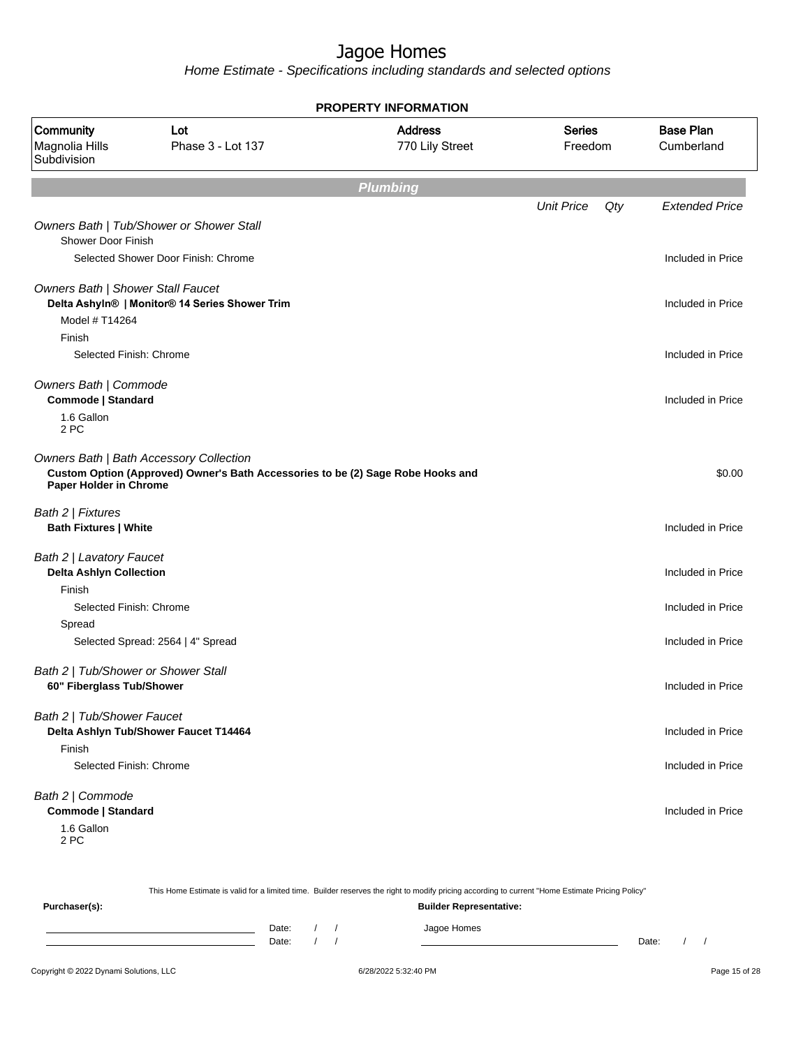Home Estimate - Specifications including standards and selected options

| <b>PROPERTY INFORMATION</b>                                          |                                                                                                                            |                                   |                          |                                |  |  |  |  |  |
|----------------------------------------------------------------------|----------------------------------------------------------------------------------------------------------------------------|-----------------------------------|--------------------------|--------------------------------|--|--|--|--|--|
| Community<br>Magnolia Hills<br>Subdivision                           | Lot<br>Phase 3 - Lot 137                                                                                                   | <b>Address</b><br>770 Lily Street | <b>Series</b><br>Freedom | <b>Base Plan</b><br>Cumberland |  |  |  |  |  |
|                                                                      |                                                                                                                            | <b>Plumbing</b>                   |                          |                                |  |  |  |  |  |
|                                                                      |                                                                                                                            |                                   | <b>Unit Price</b>        | Qty<br><b>Extended Price</b>   |  |  |  |  |  |
| <b>Shower Door Finish</b>                                            | Owners Bath   Tub/Shower or Shower Stall<br>Selected Shower Door Finish: Chrome                                            |                                   |                          | Included in Price              |  |  |  |  |  |
|                                                                      |                                                                                                                            |                                   |                          |                                |  |  |  |  |  |
| Owners Bath   Shower Stall Faucet<br>Model # T14264                  | Delta Ashyln®   Monitor® 14 Series Shower Trim                                                                             |                                   |                          | Included in Price              |  |  |  |  |  |
| Finish<br>Selected Finish: Chrome                                    |                                                                                                                            |                                   |                          | Included in Price              |  |  |  |  |  |
| Owners Bath   Commode<br>Commode   Standard<br>1.6 Gallon<br>2 PC    |                                                                                                                            |                                   |                          | Included in Price              |  |  |  |  |  |
| Paper Holder in Chrome                                               | Owners Bath   Bath Accessory Collection<br>Custom Option (Approved) Owner's Bath Accessories to be (2) Sage Robe Hooks and |                                   |                          | \$0.00                         |  |  |  |  |  |
| Bath 2   Fixtures<br><b>Bath Fixtures   White</b>                    |                                                                                                                            |                                   |                          | Included in Price              |  |  |  |  |  |
| Bath 2   Lavatory Faucet<br><b>Delta Ashlyn Collection</b><br>Finish |                                                                                                                            |                                   |                          | Included in Price              |  |  |  |  |  |
| Selected Finish: Chrome                                              |                                                                                                                            |                                   |                          | Included in Price              |  |  |  |  |  |
| Spread                                                               |                                                                                                                            |                                   |                          |                                |  |  |  |  |  |
|                                                                      | Selected Spread: 2564   4" Spread                                                                                          |                                   |                          | Included in Price              |  |  |  |  |  |
| Bath 2   Tub/Shower or Shower Stall<br>60" Fiberglass Tub/Shower     |                                                                                                                            |                                   |                          | Included in Price              |  |  |  |  |  |
| Bath 2   Tub/Shower Faucet                                           |                                                                                                                            |                                   |                          |                                |  |  |  |  |  |
| Finish                                                               | Delta Ashlyn Tub/Shower Faucet T14464                                                                                      |                                   |                          | Included in Price              |  |  |  |  |  |
| Selected Finish: Chrome                                              |                                                                                                                            |                                   |                          | Included in Price              |  |  |  |  |  |
| Bath 2   Commode<br>Commode   Standard<br>1.6 Gallon<br>2 PC         |                                                                                                                            |                                   |                          | Included in Price              |  |  |  |  |  |

|                                        |                                |  |  | This Home Estimate is valid for a limited time. Builder reserves the right to modify pricing according to current "Home Estimate Pricing Policy" |       |  |               |
|----------------------------------------|--------------------------------|--|--|--------------------------------------------------------------------------------------------------------------------------------------------------|-------|--|---------------|
| Purchaser(s):                          | <b>Builder Representative:</b> |  |  |                                                                                                                                                  |       |  |               |
|                                        | Date:<br>Date:                 |  |  | Jagoe Homes                                                                                                                                      | Date: |  |               |
| Copyright © 2022 Dynami Solutions, LLC |                                |  |  | 6/28/2022 5:32:40 PM                                                                                                                             |       |  | Page 15 of 28 |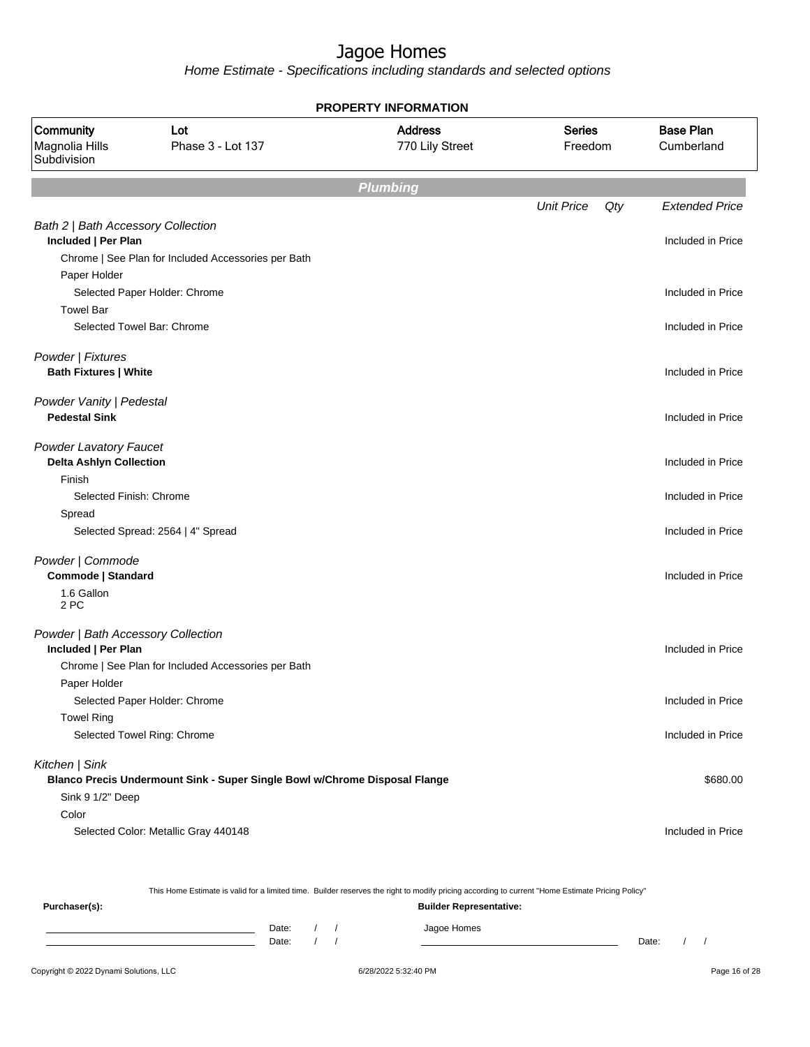Home Estimate - Specifications including standards and selected options

| <b>PROPERTY INFORMATION</b>                                     |                                                                                           |                 |                          |                       |  |  |  |
|-----------------------------------------------------------------|-------------------------------------------------------------------------------------------|-----------------|--------------------------|-----------------------|--|--|--|
| Community<br>Magnolia Hills<br>Subdivision                      | <b>Series</b><br>Lot<br><b>Address</b><br>Phase 3 - Lot 137<br>770 Lily Street<br>Freedom |                 |                          |                       |  |  |  |
|                                                                 |                                                                                           | <b>Plumbing</b> |                          |                       |  |  |  |
|                                                                 |                                                                                           |                 | <b>Unit Price</b><br>Qty | <b>Extended Price</b> |  |  |  |
| Bath 2   Bath Accessory Collection<br>Included   Per Plan       |                                                                                           |                 |                          | Included in Price     |  |  |  |
| Paper Holder                                                    | Chrome   See Plan for Included Accessories per Bath                                       |                 |                          |                       |  |  |  |
|                                                                 | Selected Paper Holder: Chrome                                                             |                 |                          | Included in Price     |  |  |  |
| <b>Towel Bar</b>                                                |                                                                                           |                 |                          |                       |  |  |  |
|                                                                 | Selected Towel Bar: Chrome                                                                |                 |                          | Included in Price     |  |  |  |
| Powder   Fixtures<br><b>Bath Fixtures   White</b>               |                                                                                           |                 |                          | Included in Price     |  |  |  |
| Powder Vanity   Pedestal<br><b>Pedestal Sink</b>                |                                                                                           |                 |                          | Included in Price     |  |  |  |
| <b>Powder Lavatory Faucet</b><br><b>Delta Ashlyn Collection</b> |                                                                                           |                 |                          | Included in Price     |  |  |  |
| Finish                                                          |                                                                                           |                 |                          |                       |  |  |  |
| Selected Finish: Chrome                                         |                                                                                           |                 |                          | Included in Price     |  |  |  |
| Spread                                                          |                                                                                           |                 |                          |                       |  |  |  |
|                                                                 | Selected Spread: 2564   4" Spread                                                         |                 |                          | Included in Price     |  |  |  |
| Powder   Commode<br>Commode   Standard                          |                                                                                           |                 |                          | Included in Price     |  |  |  |
| 1.6 Gallon<br>2 PC                                              |                                                                                           |                 |                          |                       |  |  |  |
| Powder   Bath Accessory Collection<br>Included   Per Plan       |                                                                                           |                 |                          | Included in Price     |  |  |  |
|                                                                 | Chrome   See Plan for Included Accessories per Bath                                       |                 |                          |                       |  |  |  |
| Paper Holder                                                    |                                                                                           |                 |                          |                       |  |  |  |
|                                                                 | Selected Paper Holder: Chrome                                                             |                 |                          | Included in Price     |  |  |  |
| <b>Towel Ring</b>                                               |                                                                                           |                 |                          |                       |  |  |  |
|                                                                 | Selected Towel Ring: Chrome                                                               |                 |                          | Included in Price     |  |  |  |
| Kitchen   Sink                                                  |                                                                                           |                 |                          |                       |  |  |  |
|                                                                 | Blanco Precis Undermount Sink - Super Single Bowl w/Chrome Disposal Flange                |                 |                          | \$680.00              |  |  |  |
| Sink 9 1/2" Deep                                                |                                                                                           |                 |                          |                       |  |  |  |
| Color                                                           |                                                                                           |                 |                          |                       |  |  |  |
|                                                                 | Selected Color: Metallic Gray 440148                                                      |                 |                          | Included in Price     |  |  |  |
|                                                                 |                                                                                           |                 |                          |                       |  |  |  |
|                                                                 |                                                                                           |                 |                          |                       |  |  |  |

This Home Estimate is valid for a limited time. Builder reserves the right to modify pricing according to current "Home Estimate Pricing Policy"

**Purchaser(s): Builder Representative:** Date: / / Jagoe Homes<br>Date: / / Jagoe Homes Date: / / **Date: / / 2006** Date: / / / Date: / / /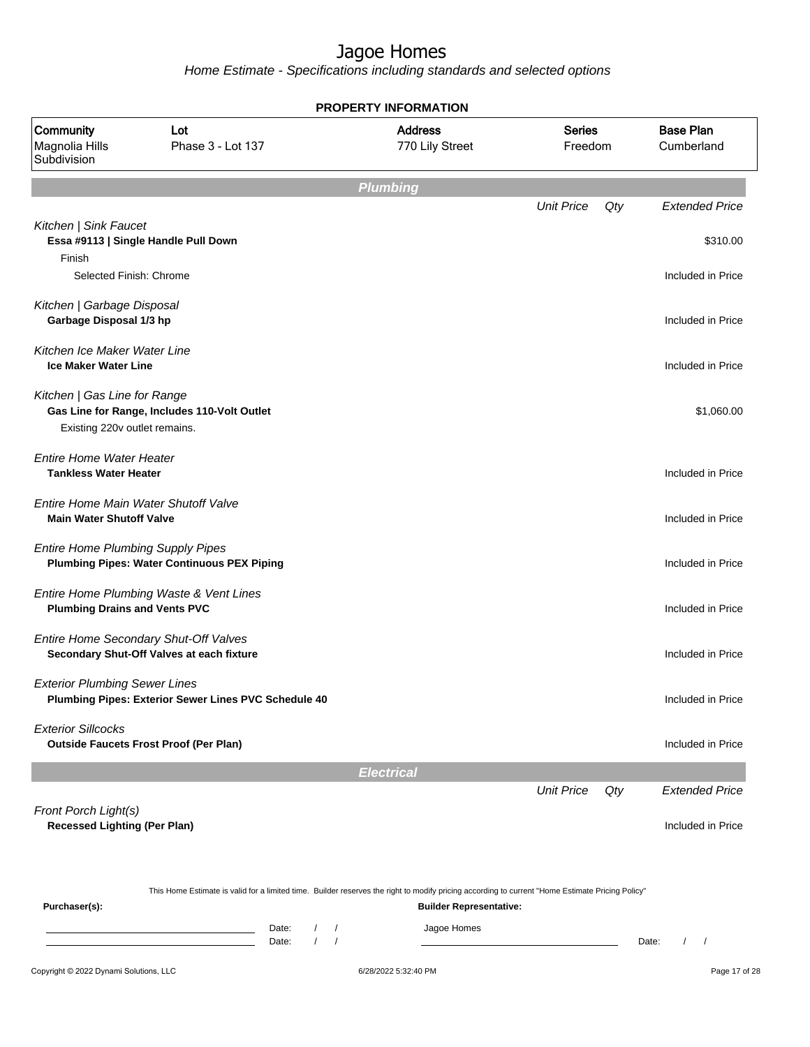Home Estimate - Specifications including standards and selected options

| <b>PROPERTY INFORMATION</b>                                             |                                                      |                                                    |                                                                                                                                                  |                          |                                                 |  |  |  |
|-------------------------------------------------------------------------|------------------------------------------------------|----------------------------------------------------|--------------------------------------------------------------------------------------------------------------------------------------------------|--------------------------|-------------------------------------------------|--|--|--|
| Community<br>Magnolia Hills<br>Subdivision                              | Lot<br>Phase 3 - Lot 137                             |                                                    | <b>Address</b><br>770 Lily Street                                                                                                                | <b>Series</b><br>Freedom | <b>Base Plan</b><br>Cumberland                  |  |  |  |
|                                                                         |                                                      |                                                    | <b>Plumbing</b>                                                                                                                                  |                          |                                                 |  |  |  |
|                                                                         |                                                      |                                                    |                                                                                                                                                  | <b>Unit Price</b>        | Qty<br><b>Extended Price</b>                    |  |  |  |
| Kitchen   Sink Faucet<br>Finish                                         | Essa #9113   Single Handle Pull Down                 |                                                    |                                                                                                                                                  |                          | \$310.00                                        |  |  |  |
| Selected Finish: Chrome                                                 |                                                      |                                                    |                                                                                                                                                  |                          | Included in Price                               |  |  |  |
| Kitchen   Garbage Disposal<br>Garbage Disposal 1/3 hp                   |                                                      |                                                    |                                                                                                                                                  |                          | Included in Price                               |  |  |  |
| Kitchen Ice Maker Water Line<br><b>Ice Maker Water Line</b>             |                                                      |                                                    |                                                                                                                                                  |                          | Included in Price                               |  |  |  |
| Kitchen   Gas Line for Range<br>Existing 220v outlet remains.           | Gas Line for Range, Includes 110-Volt Outlet         |                                                    |                                                                                                                                                  |                          | \$1,060.00                                      |  |  |  |
| <b>Entire Home Water Heater</b><br><b>Tankless Water Heater</b>         |                                                      |                                                    |                                                                                                                                                  |                          | Included in Price                               |  |  |  |
| Entire Home Main Water Shutoff Valve<br><b>Main Water Shutoff Valve</b> |                                                      |                                                    |                                                                                                                                                  |                          | Included in Price                               |  |  |  |
| <b>Entire Home Plumbing Supply Pipes</b>                                | <b>Plumbing Pipes: Water Continuous PEX Piping</b>   |                                                    |                                                                                                                                                  |                          | Included in Price                               |  |  |  |
| <b>Plumbing Drains and Vents PVC</b>                                    | Entire Home Plumbing Waste & Vent Lines              |                                                    |                                                                                                                                                  |                          | Included in Price                               |  |  |  |
| Entire Home Secondary Shut-Off Valves                                   | Secondary Shut-Off Valves at each fixture            |                                                    |                                                                                                                                                  |                          | Included in Price                               |  |  |  |
| <b>Exterior Plumbing Sewer Lines</b>                                    | Plumbing Pipes: Exterior Sewer Lines PVC Schedule 40 |                                                    |                                                                                                                                                  |                          | Included in Price                               |  |  |  |
| <b>Exterior Sillcocks</b>                                               | <b>Outside Faucets Frost Proof (Per Plan)</b>        |                                                    |                                                                                                                                                  |                          | Included in Price                               |  |  |  |
|                                                                         |                                                      |                                                    | <b>Electrical</b>                                                                                                                                |                          |                                                 |  |  |  |
|                                                                         |                                                      |                                                    |                                                                                                                                                  | <b>Unit Price</b>        | Qty<br><b>Extended Price</b>                    |  |  |  |
| Front Porch Light(s)<br><b>Recessed Lighting (Per Plan)</b>             |                                                      |                                                    |                                                                                                                                                  |                          | Included in Price                               |  |  |  |
|                                                                         |                                                      |                                                    | This Home Estimate is valid for a limited time. Builder reserves the right to modify pricing according to current "Home Estimate Pricing Policy" |                          |                                                 |  |  |  |
| Purchaser(s):                                                           |                                                      | Date:<br>$\prime$<br>$\prime$<br>Date:<br>$\prime$ | <b>Builder Representative:</b><br>Jagoe Homes                                                                                                    |                          | $\sqrt{2}$<br>Date:<br>$\overline{\phantom{a}}$ |  |  |  |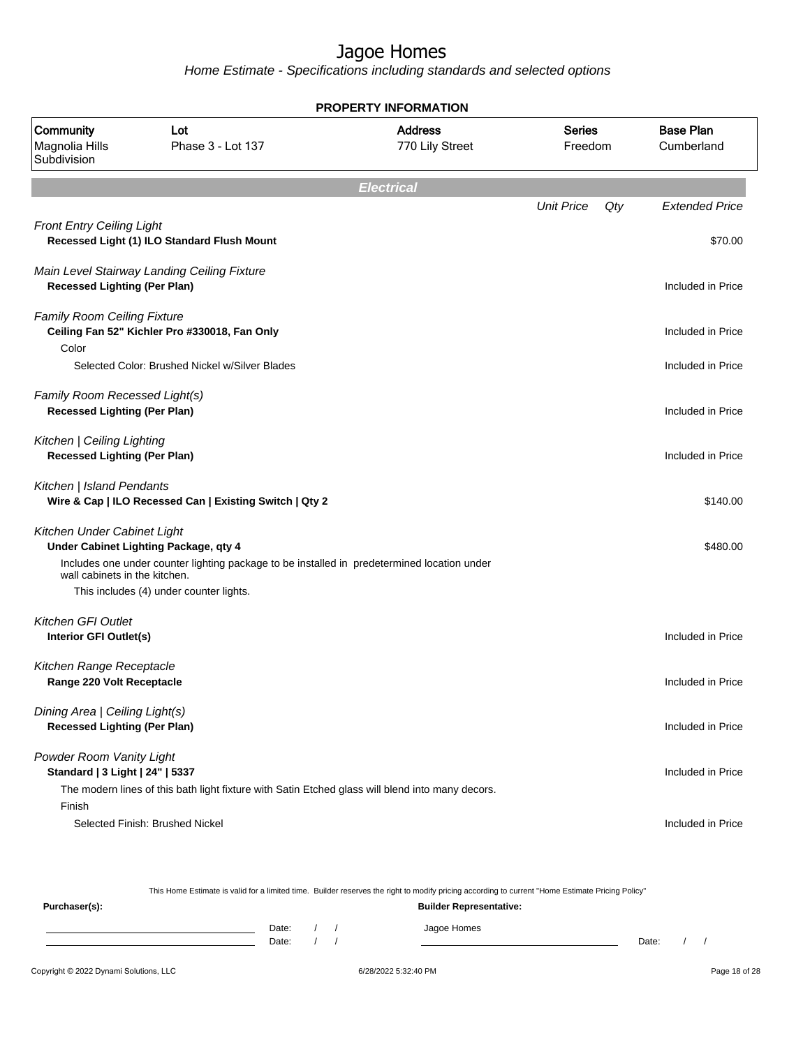Home Estimate - Specifications including standards and selected options

|                                                                       | <b>PROPERTY INFORMATION</b>                                                                                                                                                     |                                                    |                   |     |                       |         |  |  |  |  |  |
|-----------------------------------------------------------------------|---------------------------------------------------------------------------------------------------------------------------------------------------------------------------------|----------------------------------------------------|-------------------|-----|-----------------------|---------|--|--|--|--|--|
| Community<br>Magnolia Hills<br>Subdivision                            | Lot<br>Phase 3 - Lot 137                                                                                                                                                        | <b>Address</b><br><b>Series</b><br>770 Lily Street |                   |     |                       | Freedom |  |  |  |  |  |
| <b>Electrical</b>                                                     |                                                                                                                                                                                 |                                                    |                   |     |                       |         |  |  |  |  |  |
|                                                                       |                                                                                                                                                                                 |                                                    | <b>Unit Price</b> | Qty | <b>Extended Price</b> |         |  |  |  |  |  |
| <b>Front Entry Ceiling Light</b>                                      | Recessed Light (1) ILO Standard Flush Mount                                                                                                                                     |                                                    |                   |     | \$70.00               |         |  |  |  |  |  |
| <b>Recessed Lighting (Per Plan)</b>                                   | Main Level Stairway Landing Ceiling Fixture                                                                                                                                     |                                                    |                   |     | Included in Price     |         |  |  |  |  |  |
| <b>Family Room Ceiling Fixture</b>                                    | Ceiling Fan 52" Kichler Pro #330018, Fan Only                                                                                                                                   |                                                    |                   |     | Included in Price     |         |  |  |  |  |  |
| Color                                                                 | Selected Color: Brushed Nickel w/Silver Blades                                                                                                                                  |                                                    |                   |     | Included in Price     |         |  |  |  |  |  |
| Family Room Recessed Light(s)<br><b>Recessed Lighting (Per Plan)</b>  |                                                                                                                                                                                 |                                                    |                   |     | Included in Price     |         |  |  |  |  |  |
| Kitchen   Ceiling Lighting<br><b>Recessed Lighting (Per Plan)</b>     |                                                                                                                                                                                 |                                                    |                   |     | Included in Price     |         |  |  |  |  |  |
| Kitchen   Island Pendants                                             | Wire & Cap   ILO Recessed Can   Existing Switch   Qty 2                                                                                                                         |                                                    |                   |     | \$140.00              |         |  |  |  |  |  |
| Kitchen Under Cabinet Light<br>wall cabinets in the kitchen.          | Under Cabinet Lighting Package, qty 4<br>Includes one under counter lighting package to be installed in predetermined location under<br>This includes (4) under counter lights. |                                                    |                   |     | \$480.00              |         |  |  |  |  |  |
| <b>Kitchen GFI Outlet</b><br>Interior GFI Outlet(s)                   |                                                                                                                                                                                 |                                                    |                   |     | Included in Price     |         |  |  |  |  |  |
| Kitchen Range Receptacle<br>Range 220 Volt Receptacle                 |                                                                                                                                                                                 |                                                    |                   |     | Included in Price     |         |  |  |  |  |  |
| Dining Area   Ceiling Light(s)<br><b>Recessed Lighting (Per Plan)</b> |                                                                                                                                                                                 |                                                    |                   |     | Included in Price     |         |  |  |  |  |  |
| Powder Room Vanity Light<br>Standard   3 Light   24"   5337           | The modern lines of this bath light fixture with Satin Etched glass will blend into many decors.                                                                                |                                                    |                   |     | Included in Price     |         |  |  |  |  |  |
| Finish                                                                | Selected Finish: Brushed Nickel                                                                                                                                                 |                                                    |                   |     | Included in Price     |         |  |  |  |  |  |

This Home Estimate is valid for a limited time. Builder reserves the right to modify pricing according to current "Home Estimate Pricing Policy"

| Purchaser(s): |                |  | <b>Builder Representative:</b> |       |  |
|---------------|----------------|--|--------------------------------|-------|--|
|               | Date:<br>Date: |  | Jagoe Homes                    | Date: |  |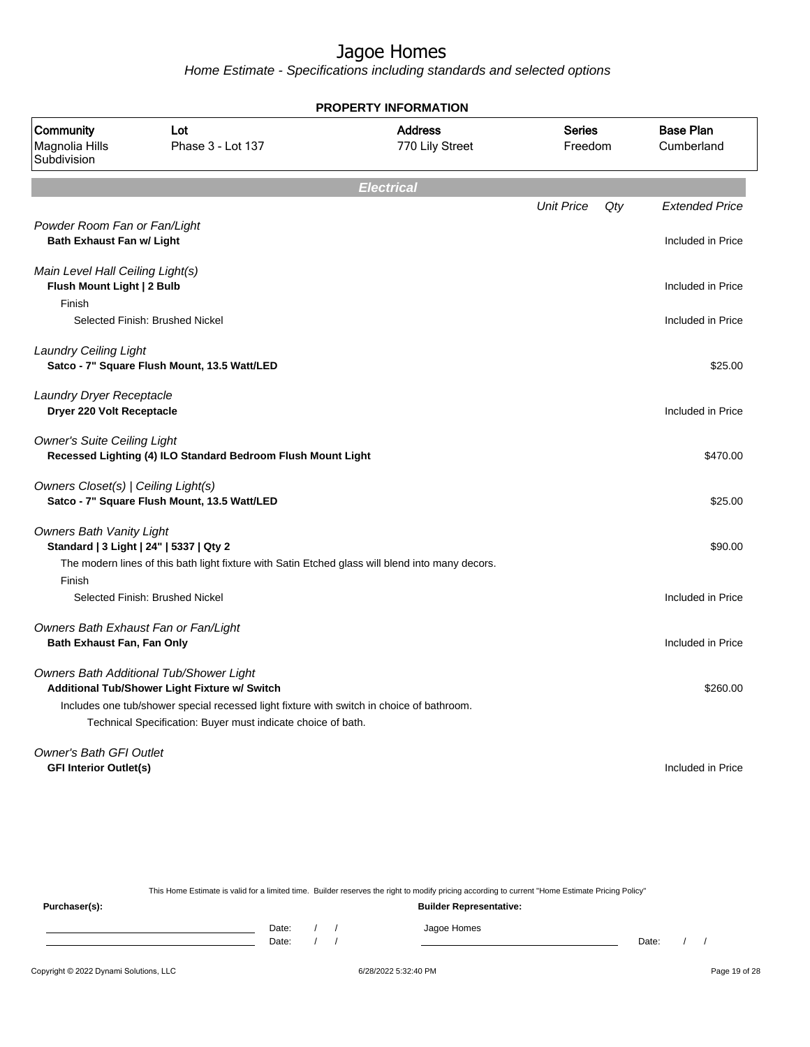Home Estimate - Specifications including standards and selected options

| <b>PROPERTY INFORMATION</b>                                              |                                                                                                                                                           |                                   |                          |     |                                |  |
|--------------------------------------------------------------------------|-----------------------------------------------------------------------------------------------------------------------------------------------------------|-----------------------------------|--------------------------|-----|--------------------------------|--|
| Community<br>Magnolia Hills<br>Subdivision                               | Lot<br>Phase 3 - Lot 137                                                                                                                                  | <b>Address</b><br>770 Lily Street | <b>Series</b><br>Freedom |     | <b>Base Plan</b><br>Cumberland |  |
|                                                                          |                                                                                                                                                           | <b>Electrical</b>                 |                          |     |                                |  |
|                                                                          |                                                                                                                                                           |                                   | <b>Unit Price</b>        | Qty | <b>Extended Price</b>          |  |
| Powder Room Fan or Fan/Light<br><b>Bath Exhaust Fan w/ Light</b>         |                                                                                                                                                           |                                   |                          |     | Included in Price              |  |
| Main Level Hall Ceiling Light(s)<br>Flush Mount Light   2 Bulb<br>Finish |                                                                                                                                                           |                                   |                          |     | Included in Price              |  |
|                                                                          | Selected Finish: Brushed Nickel                                                                                                                           |                                   |                          |     | Included in Price              |  |
| <b>Laundry Ceiling Light</b>                                             | Satco - 7" Square Flush Mount, 13.5 Watt/LED                                                                                                              |                                   |                          |     | \$25.00                        |  |
| Laundry Dryer Receptacle<br>Dryer 220 Volt Receptacle                    |                                                                                                                                                           |                                   |                          |     | Included in Price              |  |
| <b>Owner's Suite Ceiling Light</b>                                       | Recessed Lighting (4) ILO Standard Bedroom Flush Mount Light                                                                                              |                                   |                          |     | \$470.00                       |  |
| Owners Closet(s)   Ceiling Light(s)                                      | Satco - 7" Square Flush Mount, 13.5 Watt/LED                                                                                                              |                                   |                          |     | \$25.00                        |  |
| <b>Owners Bath Vanity Light</b>                                          | Standard   3 Light   24"   5337   Qty 2<br>The modern lines of this bath light fixture with Satin Etched glass will blend into many decors.               |                                   |                          |     | \$90.00                        |  |
| Finish                                                                   | Selected Finish: Brushed Nickel                                                                                                                           |                                   |                          |     | Included in Price              |  |
| Bath Exhaust Fan, Fan Only                                               | Owners Bath Exhaust Fan or Fan/Light                                                                                                                      |                                   |                          |     | Included in Price              |  |
|                                                                          | Owners Bath Additional Tub/Shower Light<br>Additional Tub/Shower Light Fixture w/ Switch                                                                  |                                   |                          |     | \$260.00                       |  |
|                                                                          | Includes one tub/shower special recessed light fixture with switch in choice of bathroom.<br>Technical Specification: Buyer must indicate choice of bath. |                                   |                          |     |                                |  |
| <b>Owner's Bath GFI Outlet</b><br><b>GFI Interior Outlet(s)</b>          |                                                                                                                                                           |                                   |                          |     | Included in Price              |  |

This Home Estimate is valid for a limited time. Builder reserves the right to modify pricing according to current "Home Estimate Pricing Policy" **Purchaser(s): Builder Representative:** Date: / / Jagoe Homes<br>Date: / / Jagoe Homes Date: / / **Date: / / 2006** Date: / / / Date: / / /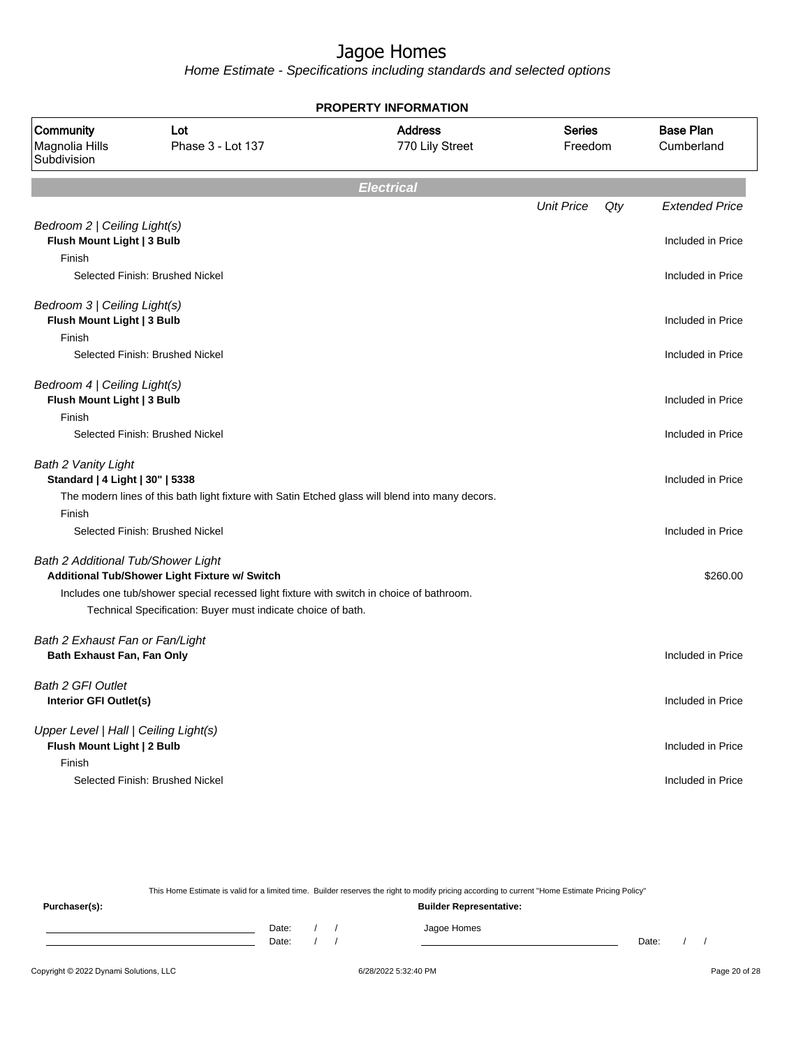Home Estimate - Specifications including standards and selected options

| <b>PROPERTY INFORMATION</b>                                                   |                                                                                                                                                                                                            |                                   |                          |                                |          |  |
|-------------------------------------------------------------------------------|------------------------------------------------------------------------------------------------------------------------------------------------------------------------------------------------------------|-----------------------------------|--------------------------|--------------------------------|----------|--|
| Community<br>Magnolia Hills<br>Subdivision                                    | Lot<br>Phase 3 - Lot 137                                                                                                                                                                                   | <b>Address</b><br>770 Lily Street | <b>Series</b><br>Freedom | <b>Base Plan</b><br>Cumberland |          |  |
|                                                                               |                                                                                                                                                                                                            | <b>Electrical</b>                 |                          |                                |          |  |
|                                                                               |                                                                                                                                                                                                            |                                   | <b>Unit Price</b>        | Qty<br><b>Extended Price</b>   |          |  |
| Bedroom 2   Ceiling Light(s)<br>Flush Mount Light   3 Bulb<br>Finish          |                                                                                                                                                                                                            |                                   |                          | Included in Price              |          |  |
|                                                                               | Selected Finish: Brushed Nickel                                                                                                                                                                            |                                   |                          | Included in Price              |          |  |
| Bedroom 3   Ceiling Light(s)<br>Flush Mount Light   3 Bulb<br>Finish          |                                                                                                                                                                                                            |                                   |                          | Included in Price              |          |  |
|                                                                               | Selected Finish: Brushed Nickel                                                                                                                                                                            |                                   |                          | Included in Price              |          |  |
| Bedroom 4   Ceiling Light(s)<br>Flush Mount Light   3 Bulb<br>Finish          |                                                                                                                                                                                                            |                                   |                          | Included in Price              |          |  |
|                                                                               | Selected Finish: Brushed Nickel                                                                                                                                                                            |                                   |                          | Included in Price              |          |  |
| Bath 2 Vanity Light<br>Standard   4 Light   30"   5338<br>Finish              | The modern lines of this bath light fixture with Satin Etched glass will blend into many decors.                                                                                                           |                                   |                          | Included in Price              |          |  |
|                                                                               | Selected Finish: Brushed Nickel                                                                                                                                                                            |                                   |                          | Included in Price              |          |  |
| Bath 2 Additional Tub/Shower Light                                            | Additional Tub/Shower Light Fixture w/ Switch<br>Includes one tub/shower special recessed light fixture with switch in choice of bathroom.<br>Technical Specification: Buyer must indicate choice of bath. |                                   |                          |                                | \$260.00 |  |
| Bath 2 Exhaust Fan or Fan/Light<br>Bath Exhaust Fan, Fan Only                 |                                                                                                                                                                                                            |                                   |                          | Included in Price              |          |  |
| <b>Bath 2 GFI Outlet</b><br>Interior GFI Outlet(s)                            |                                                                                                                                                                                                            |                                   |                          | Included in Price              |          |  |
| Upper Level   Hall   Ceiling Light(s)<br>Flush Mount Light   2 Bulb<br>Finish |                                                                                                                                                                                                            |                                   |                          | Included in Price              |          |  |
|                                                                               | Selected Finish: Brushed Nickel                                                                                                                                                                            |                                   |                          | Included in Price              |          |  |

This Home Estimate is valid for a limited time. Builder reserves the right to modify pricing according to current "Home Estimate Pricing Policy"

**Purchaser(s): Builder Representative:** Date: / / Jagoe Homes<br>Date: / / Jagoe Homes Date: / / **Date: / / 2006** Date: / / / Date: / / /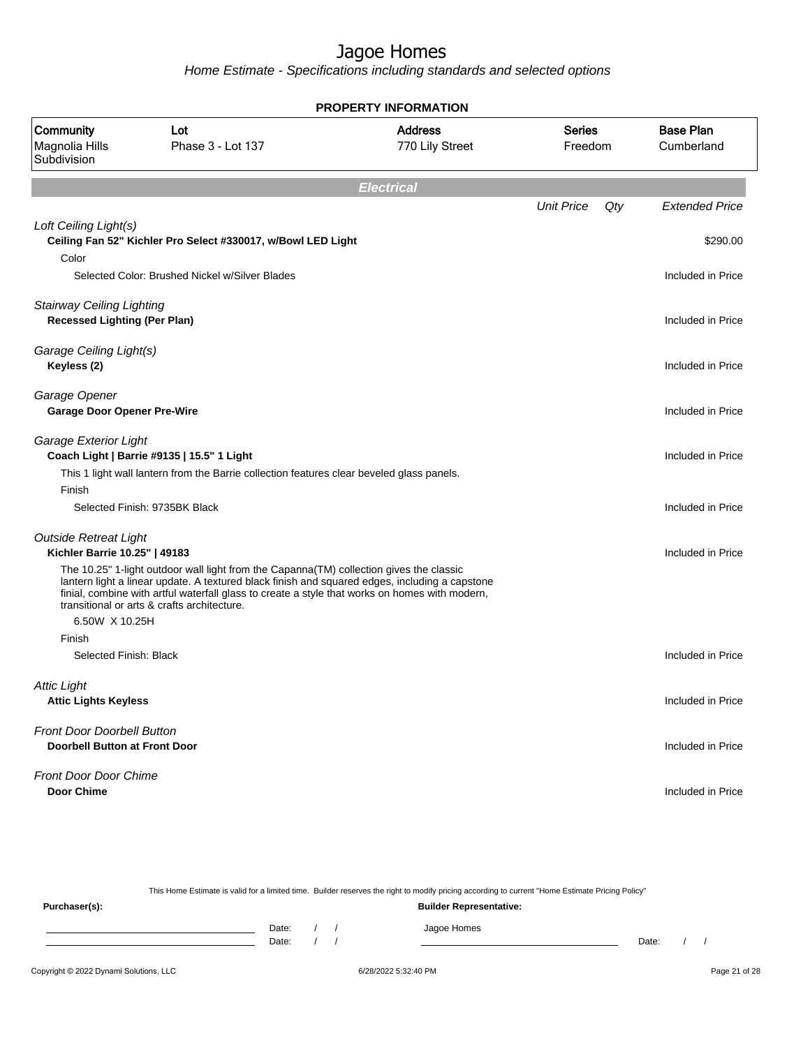Home Estimate - Specifications including standards and selected options

|                                                                         |                                                                                                                                                                                                                                                 | <b>PROPERTY INFORMATION</b>       |                          |     |                                |
|-------------------------------------------------------------------------|-------------------------------------------------------------------------------------------------------------------------------------------------------------------------------------------------------------------------------------------------|-----------------------------------|--------------------------|-----|--------------------------------|
| Community<br>Magnolia Hills<br>Subdivision                              | Lot<br>Phase 3 - Lot 137                                                                                                                                                                                                                        | <b>Address</b><br>770 Lily Street | <b>Series</b><br>Freedom |     | <b>Base Plan</b><br>Cumberland |
|                                                                         |                                                                                                                                                                                                                                                 | <b>Electrical</b>                 |                          |     |                                |
|                                                                         |                                                                                                                                                                                                                                                 |                                   | <b>Unit Price</b>        | Qty | <b>Extended Price</b>          |
| Loft Ceiling Light(s)<br>Color                                          | Ceiling Fan 52" Kichler Pro Select #330017, w/Bowl LED Light                                                                                                                                                                                    |                                   |                          |     | \$290.00                       |
|                                                                         | Selected Color: Brushed Nickel w/Silver Blades                                                                                                                                                                                                  |                                   |                          |     | Included in Price              |
| <b>Stairway Ceiling Lighting</b><br><b>Recessed Lighting (Per Plan)</b> |                                                                                                                                                                                                                                                 |                                   |                          |     | Included in Price              |
| Garage Ceiling Light(s)<br>Keyless (2)                                  |                                                                                                                                                                                                                                                 |                                   |                          |     | Included in Price              |
| Garage Opener<br><b>Garage Door Opener Pre-Wire</b>                     |                                                                                                                                                                                                                                                 |                                   |                          |     | Included in Price              |
| Garage Exterior Light                                                   | Coach Light   Barrie #9135   15.5" 1 Light<br>This 1 light wall lantern from the Barrie collection features clear beveled glass panels.                                                                                                         |                                   |                          |     | Included in Price              |
| Finish                                                                  | Selected Finish: 9735BK Black                                                                                                                                                                                                                   |                                   |                          |     | Included in Price              |
| <b>Outside Retreat Light</b><br>Kichler Barrie 10.25"   49183           | The 10.25" 1-light outdoor wall light from the Capanna(TM) collection gives the classic                                                                                                                                                         |                                   |                          |     | Included in Price              |
|                                                                         | lantern light a linear update. A textured black finish and squared edges, including a capstone<br>finial, combine with artful waterfall glass to create a style that works on homes with modern,<br>transitional or arts & crafts architecture. |                                   |                          |     |                                |
| 6.50W X 10.25H<br>Finish                                                |                                                                                                                                                                                                                                                 |                                   |                          |     |                                |
| Selected Finish: Black                                                  |                                                                                                                                                                                                                                                 |                                   |                          |     | Included in Price              |
| Attic Liaht<br><b>Attic Lights Keyless</b>                              |                                                                                                                                                                                                                                                 |                                   |                          |     | Included in Price              |
| Front Door Doorbell Button<br><b>Doorbell Button at Front Door</b>      |                                                                                                                                                                                                                                                 |                                   |                          |     | Included in Price              |
| <b>Front Door Door Chime</b><br><b>Door Chime</b>                       |                                                                                                                                                                                                                                                 |                                   |                          |     | Included in Price              |
|                                                                         |                                                                                                                                                                                                                                                 |                                   |                          |     |                                |

This Home Estimate is valid for a limited time. Builder reserves the right to modify pricing according to current "Home Estimate Pricing Policy" **Purchaser(s): Builder Representative:** Date: / / Jagoe Homes<br>Date: / / Jagoe Homes Date: / / Date: / /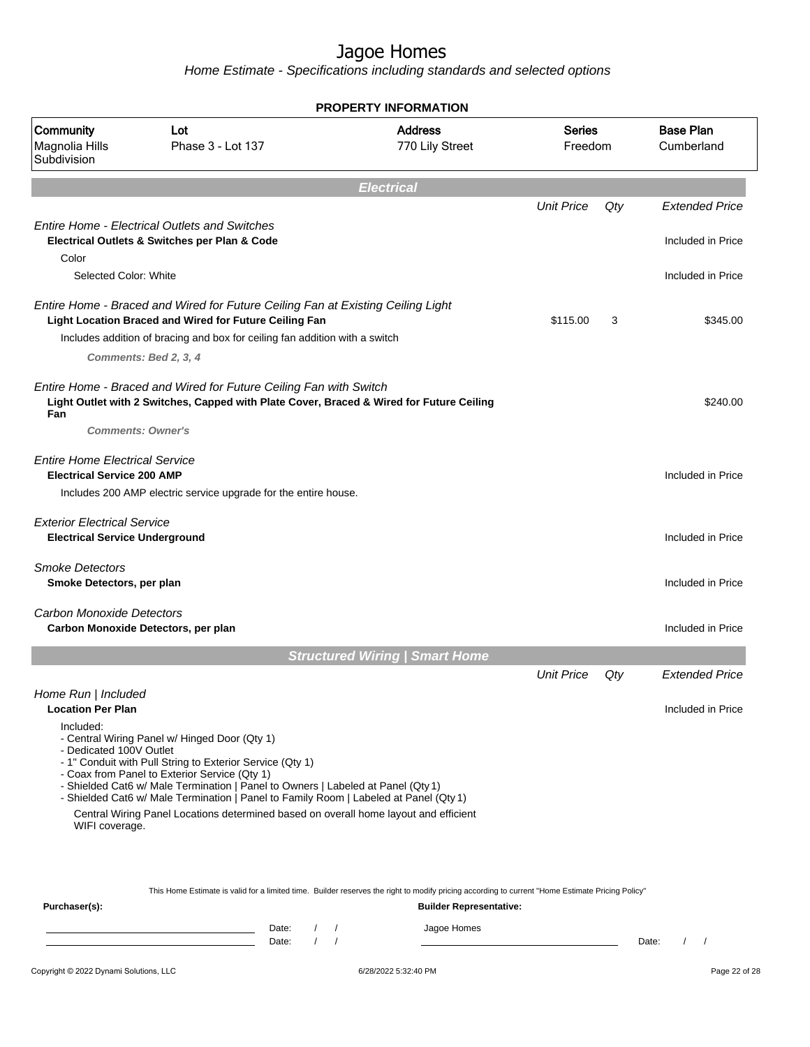Home Estimate - Specifications including standards and selected options

|                                                                             |                                                                                                                                                                                                                                                                                                                                                                                                                                  | <b>PROPERTY INFORMATION</b>           |                          |     |                                |
|-----------------------------------------------------------------------------|----------------------------------------------------------------------------------------------------------------------------------------------------------------------------------------------------------------------------------------------------------------------------------------------------------------------------------------------------------------------------------------------------------------------------------|---------------------------------------|--------------------------|-----|--------------------------------|
| Community<br>Magnolia Hills<br>Subdivision                                  | Lot<br>Phase 3 - Lot 137                                                                                                                                                                                                                                                                                                                                                                                                         | <b>Address</b><br>770 Lily Street     | <b>Series</b><br>Freedom |     | <b>Base Plan</b><br>Cumberland |
|                                                                             |                                                                                                                                                                                                                                                                                                                                                                                                                                  | <b>Electrical</b>                     |                          |     |                                |
|                                                                             |                                                                                                                                                                                                                                                                                                                                                                                                                                  |                                       | <b>Unit Price</b>        | Qty | <b>Extended Price</b>          |
|                                                                             | <b>Entire Home - Electrical Outlets and Switches</b>                                                                                                                                                                                                                                                                                                                                                                             |                                       |                          |     |                                |
| Color                                                                       | Electrical Outlets & Switches per Plan & Code                                                                                                                                                                                                                                                                                                                                                                                    |                                       |                          |     | Included in Price              |
| Selected Color: White                                                       |                                                                                                                                                                                                                                                                                                                                                                                                                                  |                                       |                          |     | Included in Price              |
|                                                                             | Entire Home - Braced and Wired for Future Ceiling Fan at Existing Ceiling Light<br>Light Location Braced and Wired for Future Ceiling Fan<br>Includes addition of bracing and box for ceiling fan addition with a switch                                                                                                                                                                                                         |                                       | \$115.00                 | 3   | \$345.00                       |
|                                                                             | Comments: Bed 2, 3, 4                                                                                                                                                                                                                                                                                                                                                                                                            |                                       |                          |     |                                |
| Fan<br><b>Comments: Owner's</b>                                             | Entire Home - Braced and Wired for Future Ceiling Fan with Switch<br>Light Outlet with 2 Switches, Capped with Plate Cover, Braced & Wired for Future Ceiling                                                                                                                                                                                                                                                                    |                                       |                          |     | \$240.00                       |
| <b>Entire Home Electrical Service</b><br><b>Electrical Service 200 AMP</b>  | Includes 200 AMP electric service upgrade for the entire house.                                                                                                                                                                                                                                                                                                                                                                  |                                       |                          |     | Included in Price              |
| <b>Exterior Electrical Service</b><br><b>Electrical Service Underground</b> |                                                                                                                                                                                                                                                                                                                                                                                                                                  |                                       |                          |     | Included in Price              |
| <b>Smoke Detectors</b><br>Smoke Detectors, per plan                         |                                                                                                                                                                                                                                                                                                                                                                                                                                  |                                       |                          |     | Included in Price              |
| Carbon Monoxide Detectors                                                   | Carbon Monoxide Detectors, per plan                                                                                                                                                                                                                                                                                                                                                                                              |                                       |                          |     | Included in Price              |
|                                                                             |                                                                                                                                                                                                                                                                                                                                                                                                                                  | <b>Structured Wiring   Smart Home</b> |                          |     |                                |
|                                                                             |                                                                                                                                                                                                                                                                                                                                                                                                                                  |                                       | <b>Unit Price</b>        | Qty | <b>Extended Price</b>          |
| Home Run   Included<br><b>Location Per Plan</b>                             |                                                                                                                                                                                                                                                                                                                                                                                                                                  |                                       |                          |     | Included in Price              |
| Included:<br>- Dedicated 100V Outlet<br>WIFI coverage.                      | - Central Wiring Panel w/ Hinged Door (Qty 1)<br>- 1" Conduit with Pull String to Exterior Service (Qty 1)<br>- Coax from Panel to Exterior Service (Qty 1)<br>- Shielded Cat6 w/ Male Termination   Panel to Owners   Labeled at Panel (Qty 1)<br>- Shielded Cat6 w/ Male Termination   Panel to Family Room   Labeled at Panel (Qty 1)<br>Central Wiring Panel Locations determined based on overall home layout and efficient |                                       |                          |     |                                |
|                                                                             | This Home Estimate is valid for a limited time. Builder reserves the right to modify pricing according to current "Home Estimate Pricing Policy"                                                                                                                                                                                                                                                                                 |                                       |                          |     |                                |
| Purchaser(s):                                                               |                                                                                                                                                                                                                                                                                                                                                                                                                                  | <b>Builder Representative:</b>        |                          |     |                                |

Date: / / Jagoe Homes<br>Date: / / Jagoe Homes Date: / / **Date: / / 2006** Date: / / / Date: / / /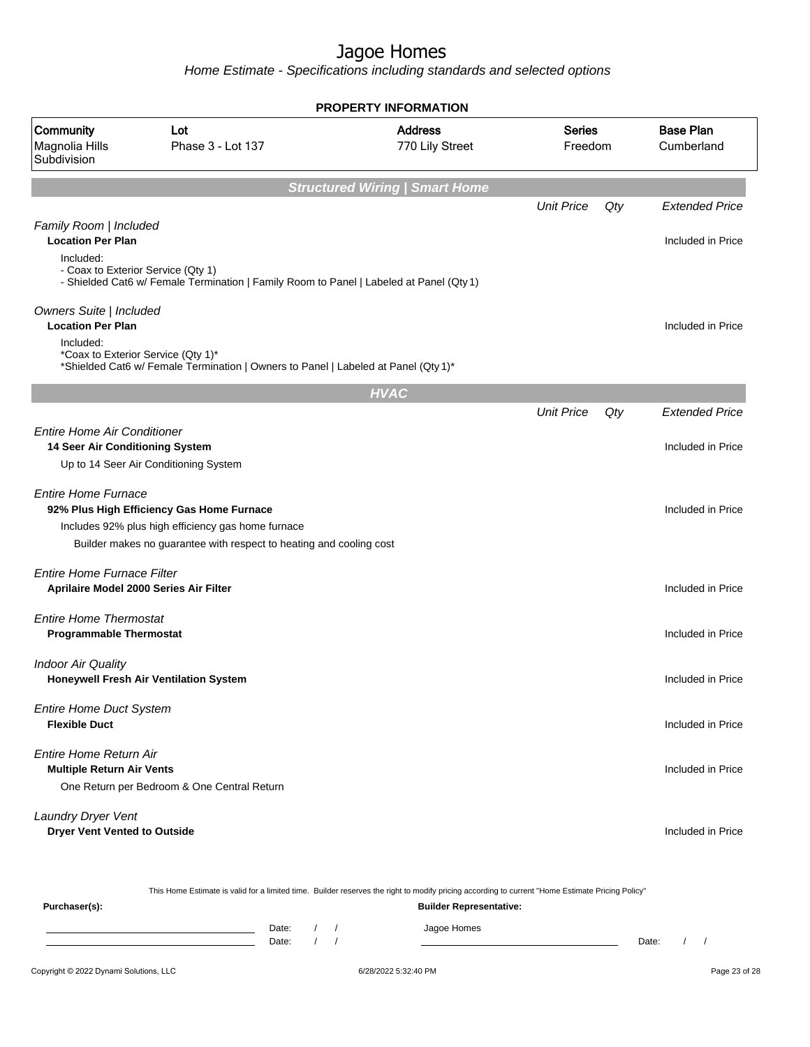Home Estimate - Specifications including standards and selected options

|                                                                       |                                                                                                                                                                        | <b>PROPERTY INFORMATION</b>           |                          |     |                                |
|-----------------------------------------------------------------------|------------------------------------------------------------------------------------------------------------------------------------------------------------------------|---------------------------------------|--------------------------|-----|--------------------------------|
| Community<br>Magnolia Hills<br>Subdivision                            | Lot<br>Phase 3 - Lot 137                                                                                                                                               | <b>Address</b><br>770 Lily Street     | <b>Series</b><br>Freedom |     | <b>Base Plan</b><br>Cumberland |
|                                                                       |                                                                                                                                                                        | <b>Structured Wiring   Smart Home</b> |                          |     |                                |
|                                                                       |                                                                                                                                                                        |                                       | <b>Unit Price</b>        | Qty | <b>Extended Price</b>          |
| Family Room   Included<br><b>Location Per Plan</b><br>Included:       |                                                                                                                                                                        |                                       |                          |     | Included in Price              |
|                                                                       | - Coax to Exterior Service (Qty 1)<br>- Shielded Cat6 w/ Female Termination   Family Room to Panel   Labeled at Panel (Qty 1)                                          |                                       |                          |     |                                |
| Owners Suite   Included<br><b>Location Per Plan</b>                   |                                                                                                                                                                        |                                       |                          |     | Included in Price              |
| Included:                                                             | *Coax to Exterior Service (Qty 1)*<br>*Shielded Cat6 w/ Female Termination   Owners to Panel   Labeled at Panel (Qty 1)*                                               |                                       |                          |     |                                |
|                                                                       |                                                                                                                                                                        | <b>HVAC</b>                           |                          |     |                                |
|                                                                       |                                                                                                                                                                        |                                       | <b>Unit Price</b>        | Qty | <b>Extended Price</b>          |
| <b>Entire Home Air Conditioner</b><br>14 Seer Air Conditioning System | Up to 14 Seer Air Conditioning System                                                                                                                                  |                                       |                          |     | Included in Price              |
| <b>Entire Home Furnace</b>                                            | 92% Plus High Efficiency Gas Home Furnace<br>Includes 92% plus high efficiency gas home furnace<br>Builder makes no guarantee with respect to heating and cooling cost |                                       |                          |     | Included in Price              |
| <b>Entire Home Furnace Filter</b>                                     | Aprilaire Model 2000 Series Air Filter                                                                                                                                 |                                       |                          |     | Included in Price              |
| <b>Entire Home Thermostat</b><br><b>Programmable Thermostat</b>       |                                                                                                                                                                        |                                       |                          |     | Included in Price              |
| <b>Indoor Air Quality</b>                                             | Honeywell Fresh Air Ventilation System                                                                                                                                 |                                       |                          |     | Included in Price              |
| <b>Entire Home Duct System</b><br><b>Flexible Duct</b>                |                                                                                                                                                                        |                                       |                          |     | Included in Price              |
| Entire Home Return Air<br><b>Multiple Return Air Vents</b>            | One Return per Bedroom & One Central Return                                                                                                                            |                                       |                          |     | Included in Price              |
| Laundry Dryer Vent<br><b>Dryer Vent Vented to Outside</b>             |                                                                                                                                                                        |                                       |                          |     | Included in Price              |
|                                                                       |                                                                                                                                                                        |                                       |                          |     |                                |

This Home Estimate is valid for a limited time. Builder reserves the right to modify pricing according to current "Home Estimate Pricing Policy"

| Purchaser(s): |                |  | <b>Builder Representative:</b> |       |  |  |
|---------------|----------------|--|--------------------------------|-------|--|--|
|               | Date:<br>Date: |  | Jagoe Homes                    | Date: |  |  |
|               |                |  |                                |       |  |  |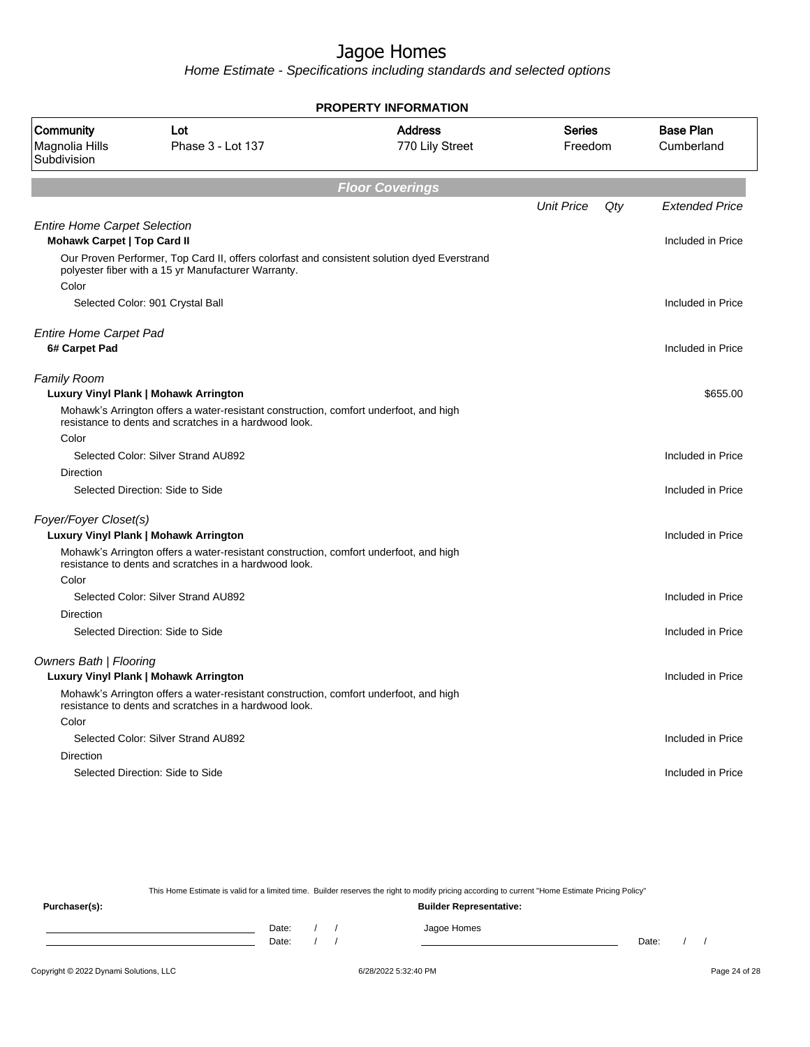Home Estimate - Specifications including standards and selected options

|                                                                    |                                                                                                                                                    | <b>PROPERTY INFORMATION</b>       |                          |     |                                |
|--------------------------------------------------------------------|----------------------------------------------------------------------------------------------------------------------------------------------------|-----------------------------------|--------------------------|-----|--------------------------------|
| <b>Community</b><br>Magnolia Hills<br>Subdivision                  | Lot<br>Phase 3 - Lot 137                                                                                                                           | <b>Address</b><br>770 Lily Street | <b>Series</b><br>Freedom |     | <b>Base Plan</b><br>Cumberland |
|                                                                    |                                                                                                                                                    | <b>Floor Coverings</b>            |                          |     |                                |
|                                                                    |                                                                                                                                                    |                                   | <b>Unit Price</b>        | Qty | <b>Extended Price</b>          |
| <b>Entire Home Carpet Selection</b><br>Mohawk Carpet   Top Card II |                                                                                                                                                    |                                   |                          |     | Included in Price              |
| Color                                                              | Our Proven Performer, Top Card II, offers colorfast and consistent solution dyed Everstrand<br>polyester fiber with a 15 yr Manufacturer Warranty. |                                   |                          |     |                                |
|                                                                    | Selected Color: 901 Crystal Ball                                                                                                                   |                                   |                          |     | Included in Price              |
|                                                                    |                                                                                                                                                    |                                   |                          |     |                                |
| <b>Entire Home Carpet Pad</b><br>6# Carpet Pad                     |                                                                                                                                                    |                                   |                          |     | Included in Price              |
| <b>Family Room</b>                                                 | Luxury Vinyl Plank   Mohawk Arrington                                                                                                              |                                   |                          |     | \$655.00                       |
| Color                                                              | Mohawk's Arrington offers a water-resistant construction, comfort underfoot, and high<br>resistance to dents and scratches in a hardwood look.     |                                   |                          |     |                                |
|                                                                    | Selected Color: Silver Strand AU892                                                                                                                |                                   |                          |     | Included in Price              |
| <b>Direction</b>                                                   |                                                                                                                                                    |                                   |                          |     |                                |
|                                                                    | Selected Direction: Side to Side                                                                                                                   |                                   |                          |     | Included in Price              |
| Foyer/Foyer Closet(s)                                              | Luxury Vinyl Plank   Mohawk Arrington                                                                                                              |                                   |                          |     | Included in Price              |
|                                                                    | Mohawk's Arrington offers a water-resistant construction, comfort underfoot, and high<br>resistance to dents and scratches in a hardwood look.     |                                   |                          |     |                                |
| Color                                                              |                                                                                                                                                    |                                   |                          |     |                                |
| <b>Direction</b>                                                   | Selected Color: Silver Strand AU892                                                                                                                |                                   |                          |     | Included in Price              |
|                                                                    | Selected Direction: Side to Side                                                                                                                   |                                   |                          |     | Included in Price              |
| <b>Owners Bath   Flooring</b>                                      | Luxury Vinyl Plank   Mohawk Arrington                                                                                                              |                                   |                          |     | Included in Price              |
|                                                                    | Mohawk's Arrington offers a water-resistant construction, comfort underfoot, and high<br>resistance to dents and scratches in a hardwood look.     |                                   |                          |     |                                |
| Color                                                              |                                                                                                                                                    |                                   |                          |     |                                |
|                                                                    | Selected Color: Silver Strand AU892                                                                                                                |                                   |                          |     | Included in Price              |
| Direction                                                          |                                                                                                                                                    |                                   |                          |     |                                |
|                                                                    | Selected Direction: Side to Side                                                                                                                   |                                   |                          |     | Included in Price              |
|                                                                    |                                                                                                                                                    |                                   |                          |     |                                |

This Home Estimate is valid for a limited time. Builder reserves the right to modify pricing according to current "Home Estimate Pricing Policy"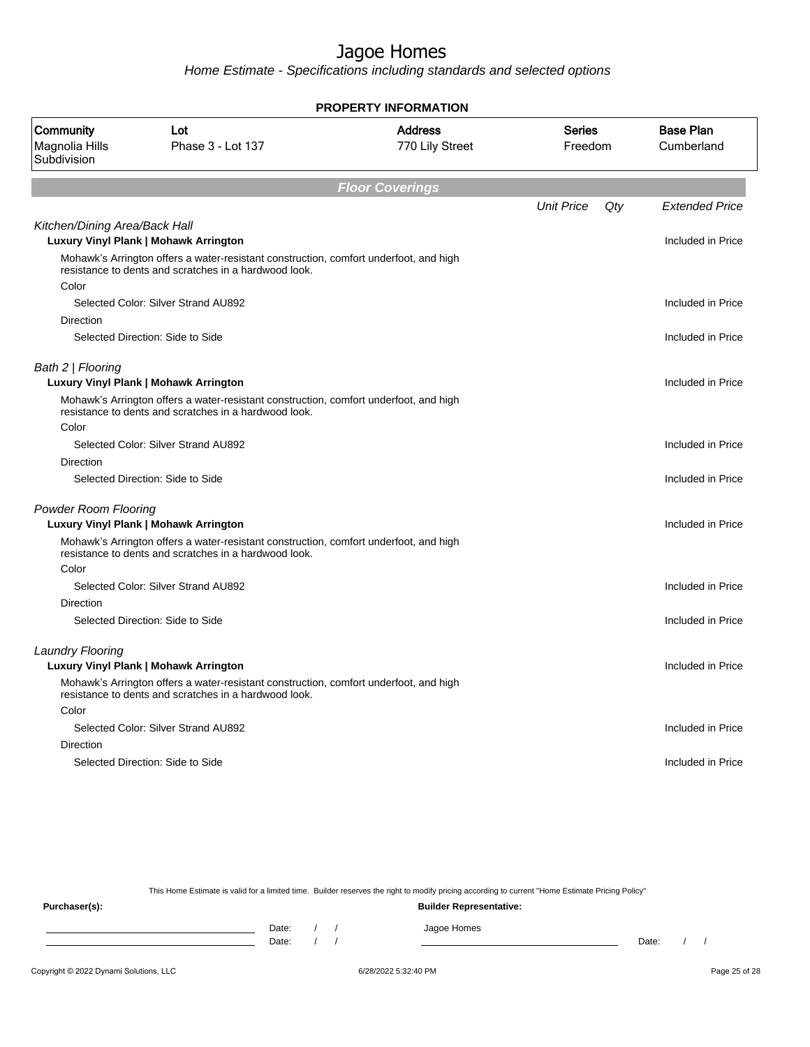Home Estimate - Specifications including standards and selected options

|                                            |                                                                                                                                                | <b>PROPERTY INFORMATION</b>       |                   |     |                                |
|--------------------------------------------|------------------------------------------------------------------------------------------------------------------------------------------------|-----------------------------------|-------------------|-----|--------------------------------|
| Community<br>Magnolia Hills<br>Subdivision | Lot<br>Phase 3 - Lot 137                                                                                                                       | <b>Address</b><br>770 Lily Street | Series<br>Freedom |     | <b>Base Plan</b><br>Cumberland |
|                                            |                                                                                                                                                | <b>Floor Coverings</b>            |                   |     |                                |
|                                            |                                                                                                                                                |                                   | <b>Unit Price</b> | Qty | <b>Extended Price</b>          |
| Kitchen/Dining Area/Back Hall              | <b>Luxury Vinyl Plank   Mohawk Arrington</b>                                                                                                   |                                   |                   |     | Included in Price              |
|                                            | Mohawk's Arrington offers a water-resistant construction, comfort underfoot, and high<br>resistance to dents and scratches in a hardwood look. |                                   |                   |     |                                |
| Color                                      |                                                                                                                                                |                                   |                   |     |                                |
|                                            | Selected Color: Silver Strand AU892                                                                                                            |                                   |                   |     | Included in Price              |
| Direction                                  |                                                                                                                                                |                                   |                   |     |                                |
|                                            | Selected Direction: Side to Side                                                                                                               |                                   |                   |     | Included in Price              |
| Bath 2   Flooring                          | Luxury Vinyl Plank   Mohawk Arrington                                                                                                          |                                   |                   |     | Included in Price              |
|                                            | Mohawk's Arrington offers a water-resistant construction, comfort underfoot, and high<br>resistance to dents and scratches in a hardwood look. |                                   |                   |     |                                |
| Color                                      |                                                                                                                                                |                                   |                   |     |                                |
|                                            | Selected Color: Silver Strand AU892                                                                                                            |                                   |                   |     | Included in Price              |
| <b>Direction</b>                           |                                                                                                                                                |                                   |                   |     |                                |
|                                            | Selected Direction: Side to Side                                                                                                               |                                   |                   |     | Included in Price              |
| <b>Powder Room Flooring</b>                |                                                                                                                                                |                                   |                   |     |                                |
|                                            | Luxury Vinyl Plank   Mohawk Arrington                                                                                                          |                                   |                   |     | Included in Price              |
|                                            | Mohawk's Arrington offers a water-resistant construction, comfort underfoot, and high<br>resistance to dents and scratches in a hardwood look. |                                   |                   |     |                                |
| Color                                      |                                                                                                                                                |                                   |                   |     |                                |
|                                            | Selected Color: Silver Strand AU892                                                                                                            |                                   |                   |     | Included in Price              |
| <b>Direction</b>                           |                                                                                                                                                |                                   |                   |     |                                |
|                                            | Selected Direction: Side to Side                                                                                                               |                                   |                   |     | Included in Price              |
| <b>Laundry Flooring</b>                    |                                                                                                                                                |                                   |                   |     |                                |
|                                            | Luxury Vinyl Plank   Mohawk Arrington                                                                                                          |                                   |                   |     | Included in Price              |
|                                            | Mohawk's Arrington offers a water-resistant construction, comfort underfoot, and high<br>resistance to dents and scratches in a hardwood look. |                                   |                   |     |                                |
| Color                                      |                                                                                                                                                |                                   |                   |     |                                |
|                                            | Selected Color: Silver Strand AU892                                                                                                            |                                   |                   |     | Included in Price              |
| Direction                                  |                                                                                                                                                |                                   |                   |     |                                |
|                                            | Selected Direction: Side to Side                                                                                                               |                                   |                   |     | Included in Price              |
|                                            |                                                                                                                                                |                                   |                   |     |                                |

This Home Estimate is valid for a limited time. Builder reserves the right to modify pricing according to current "Home Estimate Pricing Policy"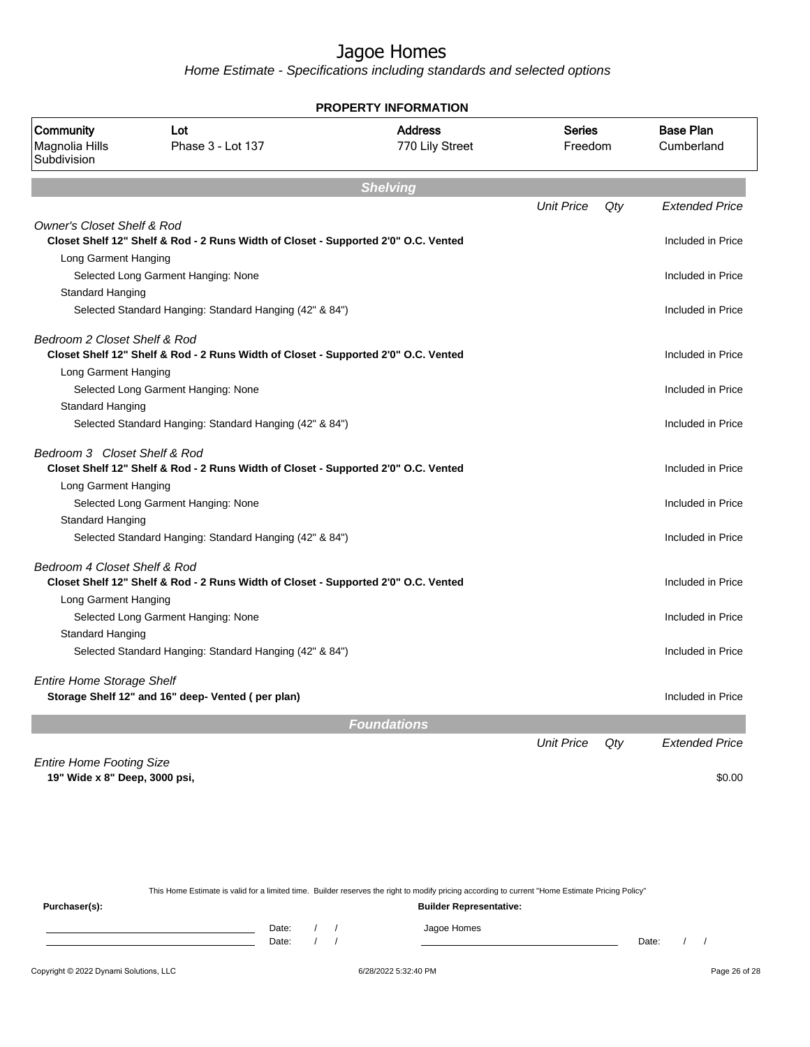Home Estimate - Specifications including standards and selected options

| PROPERTY INFORMATION                                             |                                                                                    |                                   |                          |     |                                |  |
|------------------------------------------------------------------|------------------------------------------------------------------------------------|-----------------------------------|--------------------------|-----|--------------------------------|--|
| Community<br>Magnolia Hills<br>Subdivision                       | Lot<br>Phase 3 - Lot 137                                                           | <b>Address</b><br>770 Lily Street | <b>Series</b><br>Freedom |     | <b>Base Plan</b><br>Cumberland |  |
|                                                                  |                                                                                    | <b>Shelving</b>                   |                          |     |                                |  |
|                                                                  |                                                                                    |                                   | <b>Unit Price</b>        | Qty | <b>Extended Price</b>          |  |
| <b>Owner's Closet Shelf &amp; Rod</b>                            | Closet Shelf 12" Shelf & Rod - 2 Runs Width of Closet - Supported 2'0" O.C. Vented |                                   |                          |     | Included in Price              |  |
| Long Garment Hanging                                             |                                                                                    |                                   |                          |     |                                |  |
|                                                                  | Selected Long Garment Hanging: None                                                |                                   |                          |     | Included in Price              |  |
| Standard Hanging                                                 |                                                                                    |                                   |                          |     |                                |  |
|                                                                  | Selected Standard Hanging: Standard Hanging (42" & 84")                            |                                   |                          |     | Included in Price              |  |
| Bedroom 2 Closet Shelf & Rod                                     | Closet Shelf 12" Shelf & Rod - 2 Runs Width of Closet - Supported 2'0" O.C. Vented |                                   |                          |     | Included in Price              |  |
| Long Garment Hanging                                             |                                                                                    |                                   |                          |     |                                |  |
|                                                                  | Selected Long Garment Hanging: None                                                |                                   |                          |     | Included in Price              |  |
| Standard Hanging                                                 |                                                                                    |                                   |                          |     |                                |  |
|                                                                  | Selected Standard Hanging: Standard Hanging (42" & 84")                            |                                   |                          |     | Included in Price              |  |
| Bedroom 3 Closet Shelf & Rod                                     | Closet Shelf 12" Shelf & Rod - 2 Runs Width of Closet - Supported 2'0" O.C. Vented |                                   |                          |     | Included in Price              |  |
| Long Garment Hanging                                             |                                                                                    |                                   |                          |     |                                |  |
|                                                                  | Selected Long Garment Hanging: None                                                |                                   |                          |     | Included in Price              |  |
| Standard Hanging                                                 |                                                                                    |                                   |                          |     |                                |  |
|                                                                  | Selected Standard Hanging: Standard Hanging (42" & 84")                            |                                   |                          |     | Included in Price              |  |
| Bedroom 4 Closet Shelf & Rod                                     | Closet Shelf 12" Shelf & Rod - 2 Runs Width of Closet - Supported 2'0" O.C. Vented |                                   |                          |     | Included in Price              |  |
| Long Garment Hanging                                             |                                                                                    |                                   |                          |     |                                |  |
|                                                                  | Selected Long Garment Hanging: None                                                |                                   |                          |     | Included in Price              |  |
| Standard Hanging                                                 |                                                                                    |                                   |                          |     |                                |  |
|                                                                  | Selected Standard Hanging: Standard Hanging (42" & 84")                            |                                   |                          |     | Included in Price              |  |
| <b>Entire Home Storage Shelf</b>                                 | Storage Shelf 12" and 16" deep- Vented (per plan)                                  |                                   |                          |     | Included in Price              |  |
|                                                                  |                                                                                    | <b>Foundations</b>                |                          |     |                                |  |
|                                                                  |                                                                                    |                                   | <b>Unit Price</b>        | Qty | <b>Extended Price</b>          |  |
| <b>Entire Home Footing Size</b><br>19" Wide x 8" Deep, 3000 psi, |                                                                                    |                                   |                          |     | \$0.00                         |  |

This Home Estimate is valid for a limited time. Builder reserves the right to modify pricing according to current "Home Estimate Pricing Policy"

**Purchaser(s): Builder Representative:** Date: / / Jagoe Homes<br>Date: / / Jagoe Homes Date: / / **Date: / / 2006** Date: / / / Date: / / /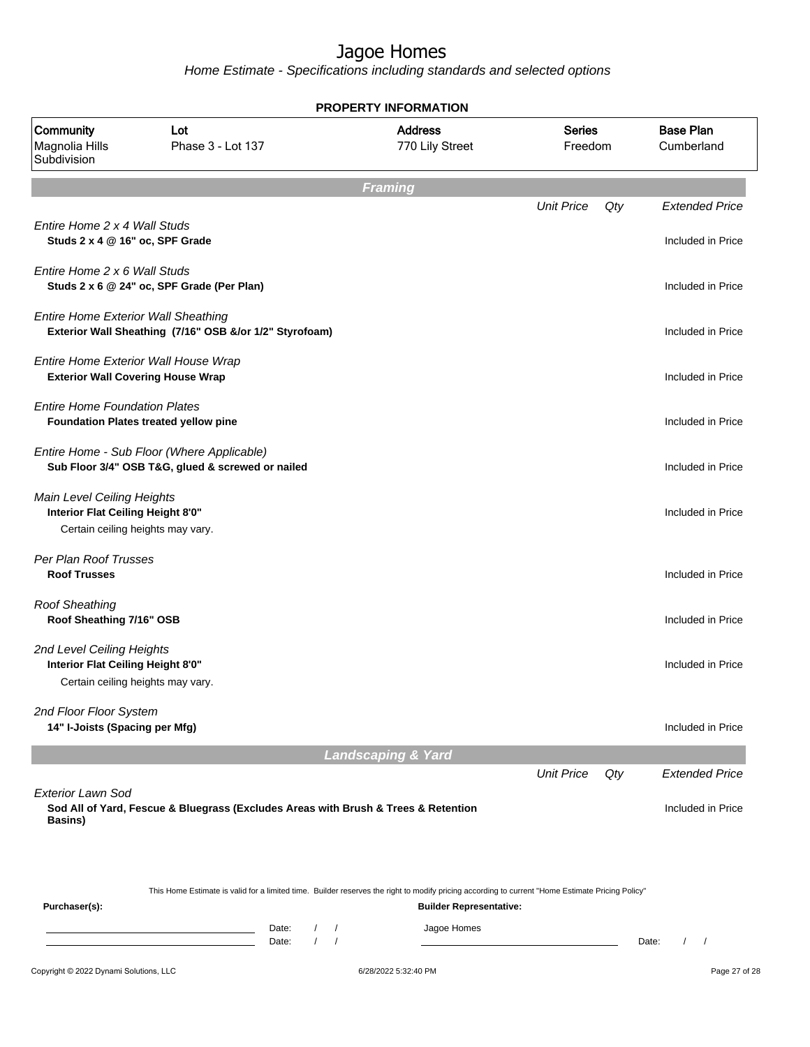Home Estimate - Specifications including standards and selected options

|                                                                                                      |                                                                                                                                                  |                                        | <b>PROPERTY INFORMATION</b>                   |                          |     |                                            |
|------------------------------------------------------------------------------------------------------|--------------------------------------------------------------------------------------------------------------------------------------------------|----------------------------------------|-----------------------------------------------|--------------------------|-----|--------------------------------------------|
| Community<br>Magnolia Hills<br>Subdivision                                                           | Lot<br>Phase 3 - Lot 137                                                                                                                         |                                        | <b>Address</b><br>770 Lily Street             | <b>Series</b><br>Freedom |     | <b>Base Plan</b><br>Cumberland             |
|                                                                                                      |                                                                                                                                                  |                                        | <b>Framing</b>                                |                          |     |                                            |
| Entire Home 2 x 4 Wall Studs<br>Studs 2 x 4 @ 16" oc, SPF Grade                                      |                                                                                                                                                  |                                        |                                               | <b>Unit Price</b>        | Qty | <b>Extended Price</b><br>Included in Price |
| Entire Home 2 x 6 Wall Studs                                                                         | Studs 2 x 6 @ 24" oc, SPF Grade (Per Plan)                                                                                                       |                                        |                                               |                          |     | Included in Price                          |
| <b>Entire Home Exterior Wall Sheathing</b>                                                           | Exterior Wall Sheathing (7/16" OSB &/or 1/2" Styrofoam)                                                                                          |                                        |                                               |                          |     | Included in Price                          |
| <b>Exterior Wall Covering House Wrap</b>                                                             | Entire Home Exterior Wall House Wrap                                                                                                             |                                        |                                               |                          |     | Included in Price                          |
| <b>Entire Home Foundation Plates</b>                                                                 | Foundation Plates treated yellow pine                                                                                                            |                                        |                                               |                          |     | Included in Price                          |
|                                                                                                      | Entire Home - Sub Floor (Where Applicable)<br>Sub Floor 3/4" OSB T&G, glued & screwed or nailed                                                  |                                        |                                               |                          |     | Included in Price                          |
| Main Level Ceiling Heights<br>Interior Flat Ceiling Height 8'0"<br>Certain ceiling heights may vary. |                                                                                                                                                  |                                        |                                               |                          |     | Included in Price                          |
| Per Plan Roof Trusses<br><b>Roof Trusses</b>                                                         |                                                                                                                                                  |                                        |                                               |                          |     | Included in Price                          |
| <b>Roof Sheathing</b><br>Roof Sheathing 7/16" OSB                                                    |                                                                                                                                                  |                                        |                                               |                          |     | Included in Price                          |
| 2nd Level Ceiling Heights<br>Interior Flat Ceiling Height 8'0"<br>Certain ceiling heights may vary.  |                                                                                                                                                  |                                        |                                               |                          |     | Included in Price                          |
| 2nd Floor Floor System<br>14" I-Joists (Spacing per Mfg)                                             |                                                                                                                                                  |                                        |                                               |                          |     | Included in Price                          |
|                                                                                                      |                                                                                                                                                  |                                        | <b>Landscaping &amp; Yard</b>                 |                          |     |                                            |
|                                                                                                      |                                                                                                                                                  |                                        |                                               | <b>Unit Price</b>        | Qty | <b>Extended Price</b>                      |
| <b>Exterior Lawn Sod</b><br>Basins)                                                                  | Sod All of Yard, Fescue & Bluegrass (Excludes Areas with Brush & Trees & Retention                                                               |                                        |                                               |                          |     | Included in Price                          |
|                                                                                                      | This Home Estimate is valid for a limited time. Builder reserves the right to modify pricing according to current "Home Estimate Pricing Policy" |                                        |                                               |                          |     |                                            |
| Purchaser(s):                                                                                        | Date:<br>Date:                                                                                                                                   | $\overline{1}$<br>$\prime$<br>$\prime$ | <b>Builder Representative:</b><br>Jagoe Homes |                          |     | $\prime$<br>Date:<br>$\prime$              |
| Copyright © 2022 Dynami Solutions, LLC                                                               |                                                                                                                                                  |                                        | 6/28/2022 5:32:40 PM                          |                          |     | Page 27 of 28                              |